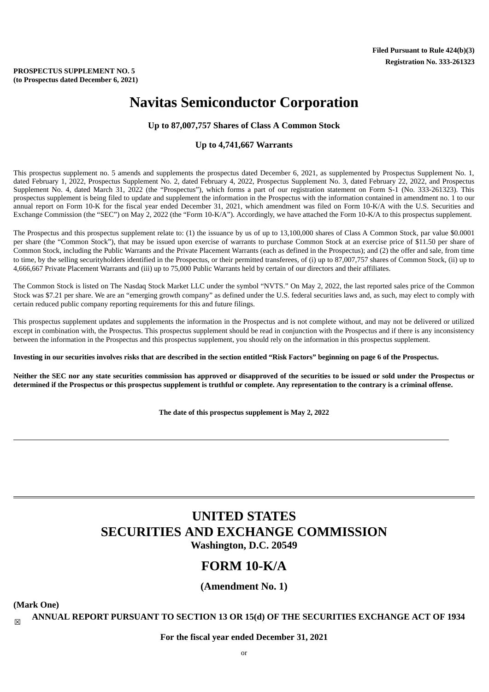## **Navitas Semiconductor Corporation**

## **Up to 87,007,757 Shares of Class A Common Stock**

## **Up to 4,741,667 Warrants**

This prospectus supplement no. 5 amends and supplements the prospectus dated December 6, 2021, as supplemented by Prospectus Supplement No. 1, dated February 1, 2022, Prospectus Supplement No. 2, dated February 4, 2022, Prospectus Supplement No. 3, dated February 22, 2022, and Prospectus Supplement No. 4, dated March 31, 2022 (the "Prospectus"), which forms a part of our registration statement on Form S-1 (No. 333-261323). This prospectus supplement is being filed to update and supplement the information in the Prospectus with the information contained in amendment no. 1 to our annual report on Form 10-K for the fiscal year ended December 31, 2021, which amendment was filed on Form 10-K/A with the U.S. Securities and Exchange Commission (the "SEC") on May 2, 2022 (the "Form 10-K/A"). Accordingly, we have attached the Form 10-K/A to this prospectus supplement.

The Prospectus and this prospectus supplement relate to: (1) the issuance by us of up to 13,100,000 shares of Class A Common Stock, par value \$0.0001 per share (the "Common Stock"), that may be issued upon exercise of warrants to purchase Common Stock at an exercise price of \$11.50 per share of Common Stock, including the Public Warrants and the Private Placement Warrants (each as defined in the Prospectus); and (2) the offer and sale, from time to time, by the selling securityholders identified in the Prospectus, or their permitted transferees, of (i) up to 87,007,757 shares of Common Stock, (ii) up to 4,666,667 Private Placement Warrants and (iii) up to 75,000 Public Warrants held by certain of our directors and their affiliates.

The Common Stock is listed on The Nasdaq Stock Market LLC under the symbol "NVTS." On May 2, 2022, the last reported sales price of the Common Stock was \$7.21 per share. We are an "emerging growth company" as defined under the U.S. federal securities laws and, as such, may elect to comply with certain reduced public company reporting requirements for this and future filings.

This prospectus supplement updates and supplements the information in the Prospectus and is not complete without, and may not be delivered or utilized except in combination with, the Prospectus. This prospectus supplement should be read in conjunction with the Prospectus and if there is any inconsistency between the information in the Prospectus and this prospectus supplement, you should rely on the information in this prospectus supplement.

Investing in our securities involves risks that are described in the section entitled "Risk Factors" beginning on page 6 of the Prospectus.

Neither the SEC nor any state securities commission has approved or disapproved of the securities to be issued or sold under the Prospectus or determined if the Prospectus or this prospectus supplement is truthful or complete. Any representation to the contrary is a criminal offense.

**The date of this prospectus supplement is May 2, 2022**

# **UNITED STATES SECURITIES AND EXCHANGE COMMISSION**

**Washington, D.C. 20549**

## **FORM 10-K/A**

**(Amendment No. 1)**

**(Mark One)**

 $\overline{M}$ **ANNUAL REPORT PURSUANT TO SECTION 13 OR 15(d) OF THE SECURITIES EXCHANGE ACT OF 1934**

## **For the fiscal year ended December 31, 2021**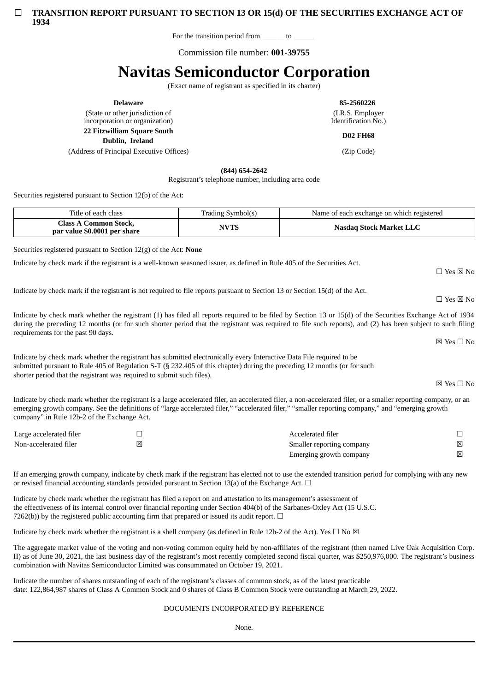☐ **TRANSITION REPORT PURSUANT TO SECTION 13 OR 15(d) OF THE SECURITIES EXCHANGE ACT OF 1934**

For the transition period from to

Commission file number: **001-39755**

# **Navitas Semiconductor Corporation**

(Exact name of registrant as specified in its charter)

| <b>Delaware</b>                              |                                                    | 85-2560226                     |
|----------------------------------------------|----------------------------------------------------|--------------------------------|
| (State or other jurisdiction of              |                                                    | (I.R.S. Employer)              |
| incorporation or organization)               |                                                    | Identification No.)            |
| 22 Fitzwilliam Square South                  | <b>D02 FH68</b>                                    |                                |
| Dublin, Ireland                              |                                                    |                                |
| (Address of Principal Executive Offices)     |                                                    | (Zip Code)                     |
|                                              | (844) 654-2642                                     |                                |
|                                              | Registrant's telephone number, including area code |                                |
| stered pursuant to Section 12(b) of the Act: |                                                    |                                |
| Title of each class                          | $T_{radina}$ $Sumbolo$                             | Namo of oach ovehange on which |

| Title of each class                                                                                                          | Trading Symbol(s) | Name of each exchange on which registered                                                                                                                  |
|------------------------------------------------------------------------------------------------------------------------------|-------------------|------------------------------------------------------------------------------------------------------------------------------------------------------------|
| <b>Class A Common Stock,</b><br>par value \$0.0001 per share                                                                 | <b>NVTS</b>       | <b>Nasdaq Stock Market LLC</b>                                                                                                                             |
| Securities registered pursuant to Section $12(g)$ of the Act: <b>None</b>                                                    |                   |                                                                                                                                                            |
| Indicate by check mark if the registrant is a well-known seasoned issuer, as defined in Rule 405 of the Securities Act.      |                   | $\Box$ Yes $\boxtimes$ No                                                                                                                                  |
| Indicate by check mark if the registrant is not required to file reports pursuant to Section 13 or Section 15(d) of the Act. |                   | $\Box$ Yes $\boxtimes$ No                                                                                                                                  |
|                                                                                                                              |                   | Indicate by check mark whether the registrant (1) has filed all reports required to be filed by Section 13 or 15(d) of the Securities Exchange Act of 1934 |

during the preceding 12 months (or for such shorter period that the registrant was required to file such reports), and (2) has been subject to such filing requirements for the past 90 days. ☒ Yes ☐ No

Indicate by check mark whether the registrant has submitted electronically every Interactive Data File required to be submitted pursuant to Rule 405 of Regulation S-T (§ 232.405 of this chapter) during the preceding 12 months (or for such shorter period that the registrant was required to submit such files).

Securities regi

 $\boxtimes$  Yes  $\Box$  No

Indicate by check mark whether the registrant is a large accelerated filer, an accelerated filer, a non-accelerated filer, or a smaller reporting company, or an emerging growth company. See the definitions of "large accelerated filer," "accelerated filer," "smaller reporting company," and "emerging growth company" in Rule 12b-2 of the Exchange Act.

| Large accelerated filer |   | Accelerated filer         |   |
|-------------------------|---|---------------------------|---|
| Non-accelerated filer   | 冈 | Smaller reporting company | 冈 |
|                         |   | Emerging growth company   | 冈 |

If an emerging growth company, indicate by check mark if the registrant has elected not to use the extended transition period for complying with any new or revised financial accounting standards provided pursuant to Section 13(a) of the Exchange Act.  $\Box$ 

Indicate by check mark whether the registrant has filed a report on and attestation to its management's assessment of the effectiveness of its internal control over financial reporting under Section 404(b) of the Sarbanes-Oxley Act (15 U.S.C. 7262(b)) by the registered public accounting firm that prepared or issued its audit report.  $\Box$ 

Indicate by check mark whether the registrant is a shell company (as defined in Rule 12b-2 of the Act). Yes  $\Box$  No  $\boxtimes$ 

The aggregate market value of the voting and non-voting common equity held by non-affiliates of the registrant (then named Live Oak Acquisition Corp. II) as of June 30, 2021, the last business day of the registrant's most recently completed second fiscal quarter, was \$250,976,000. The registrant's business combination with Navitas Semiconductor Limited was consummated on October 19, 2021.

<span id="page-1-0"></span>Indicate the number of shares outstanding of each of the registrant's classes of common stock, as of the latest practicable date: 122,864,987 shares of Class A Common Stock and 0 shares of Class B Common Stock were outstanding at March 29, 2022.

#### DOCUMENTS INCORPORATED BY REFERENCE

None.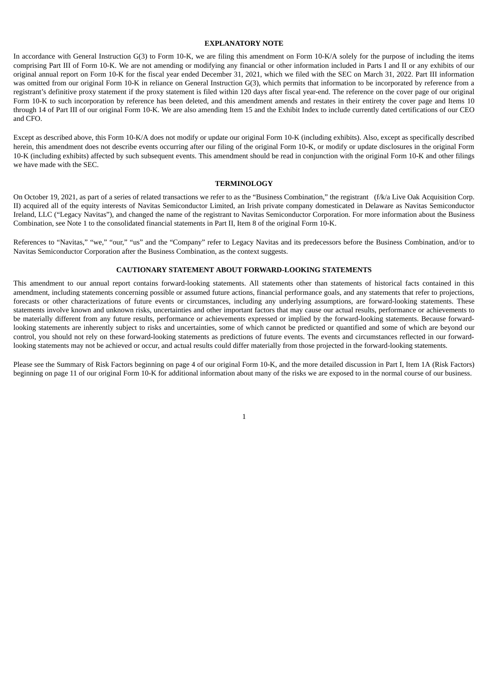#### **EXPLANATORY NOTE**

In accordance with General Instruction G(3) to Form 10-K, we are filing this amendment on Form 10-K/A solely for the purpose of including the items comprising Part III of Form 10-K. We are not amending or modifying any financial or other information included in Parts I and II or any exhibits of our original annual report on Form 10-K for the fiscal year ended December 31, 2021, which we filed with the SEC on March 31, 2022. Part III information was omitted from our original Form 10-K in reliance on General Instruction G(3), which permits that information to be incorporated by reference from a registrant's definitive proxy statement if the proxy statement is filed within 120 days after fiscal year-end. The reference on the cover page of our original Form 10-K to such incorporation by reference has been deleted, and this amendment amends and restates in their entirety the cover page and Items 10 through 14 of Part III of our original Form 10-K. We are also amending Item 15 and the Exhibit Index to include currently dated certifications of our CEO and CFO.

Except as described above, this Form 10-K/A does not modify or update our original Form 10-K (including exhibits). Also, except as specifically described herein, this amendment does not describe events occurring after our filing of the original Form 10-K, or modify or update disclosures in the original Form 10-K (including exhibits) affected by such subsequent events. This amendment should be read in conjunction with the original Form 10-K and other filings we have made with the SEC.

### **TERMINOLOGY**

<span id="page-2-0"></span>On October 19, 2021, as part of a series of related transactions we refer to as the "Business Combination," the registrant (f/k/a Live Oak Acquisition Corp. II) acquired all of the equity interests of Navitas Semiconductor Limited, an Irish private company domesticated in Delaware as Navitas Semiconductor Ireland, LLC ("Legacy Navitas"), and changed the name of the registrant to Navitas Semiconductor Corporation. For more information about the Business Combination, see Note 1 to the consolidated financial statements in Part II, Item 8 of the original Form 10-K.

References to "Navitas," "we," "our," "us" and the "Company" refer to Legacy Navitas and its predecessors before the Business Combination, and/or to Navitas Semiconductor Corporation after the Business Combination, as the context suggests.

#### **CAUTIONARY STATEMENT ABOUT FORWARD-LOOKING STATEMENTS**

<span id="page-2-1"></span>This amendment to our annual report contains forward-looking statements. All statements other than statements of historical facts contained in this amendment, including statements concerning possible or assumed future actions, financial performance goals, and any statements that refer to projections, forecasts or other characterizations of future events or circumstances, including any underlying assumptions, are forward-looking statements. These statements involve known and unknown risks, uncertainties and other important factors that may cause our actual results, performance or achievements to be materially different from any future results, performance or achievements expressed or implied by the forward-looking statements. Because forwardlooking statements are inherently subject to risks and uncertainties, some of which cannot be predicted or quantified and some of which are beyond our control, you should not rely on these forward-looking statements as predictions of future events. The events and circumstances reflected in our forwardlooking statements may not be achieved or occur, and actual results could differ materially from those projected in the forward-looking statements.

Please see the Summary of Risk Factors beginning on page 4 of our original Form 10-K, and the more detailed discussion in Part I, Item 1A (Risk Factors) beginning on page 11 of our original Form 10-K for additional information about many of the risks we are exposed to in the normal course of our business.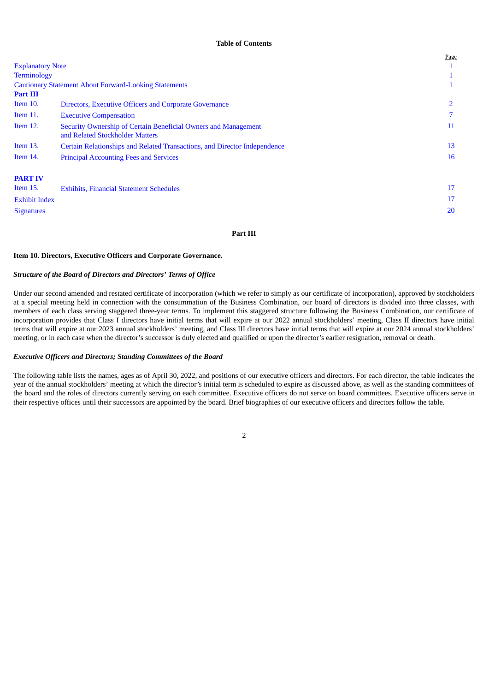### **Table of Contents**

|                                                                                                               | Page |
|---------------------------------------------------------------------------------------------------------------|------|
| <b>Explanatory Note</b>                                                                                       |      |
| <b>Terminology</b>                                                                                            |      |
| <b>Cautionary Statement About Forward-Looking Statements</b>                                                  |      |
| <b>Part III</b>                                                                                               |      |
| Item 10.<br>Directors, Executive Officers and Corporate Governance                                            | 2    |
| Item 11.<br><b>Executive Compensation</b>                                                                     |      |
| Item 12.<br>Security Ownership of Certain Beneficial Owners and Management<br>and Related Stockholder Matters | 11   |
| Item 13.<br><b>Certain Relationships and Related Transactions, and Director Independence</b>                  | 13   |
| Item 14.<br><b>Principal Accounting Fees and Services</b>                                                     | 16   |
| <b>PART IV</b>                                                                                                |      |
| Item 15.<br><b>Exhibits, Financial Statement Schedules</b>                                                    | 17   |
| <b>Exhibit Index</b>                                                                                          | 17   |
| <b>Signatures</b>                                                                                             | 20   |

## **Part III**

#### <span id="page-3-1"></span><span id="page-3-0"></span>**Item 10. Directors, Executive Officers and Corporate Governance.**

## *Structure of the Board of Directors and Directors' Terms of Office*

Under our second amended and restated certificate of incorporation (which we refer to simply as our certificate of incorporation), approved by stockholders at a special meeting held in connection with the consummation of the Business Combination, our board of directors is divided into three classes, with members of each class serving staggered three-year terms. To implement this staggered structure following the Business Combination, our certificate of incorporation provides that Class I directors have initial terms that will expire at our 2022 annual stockholders' meeting, Class II directors have initial terms that will expire at our 2023 annual stockholders' meeting, and Class III directors have initial terms that will expire at our 2024 annual stockholders' meeting, or in each case when the director's successor is duly elected and qualified or upon the director's earlier resignation, removal or death.

#### *Executive Officers and Directors; Standing Committees of the Board*

The following table lists the names, ages as of April 30, 2022, and positions of our executive officers and directors. For each director, the table indicates the year of the annual stockholders' meeting at which the director's initial term is scheduled to expire as discussed above, as well as the standing committees of the board and the roles of directors currently serving on each committee. Executive officers do not serve on board committees. Executive officers serve in their respective offices until their successors are appointed by the board. Brief biographies of our executive officers and directors follow the table.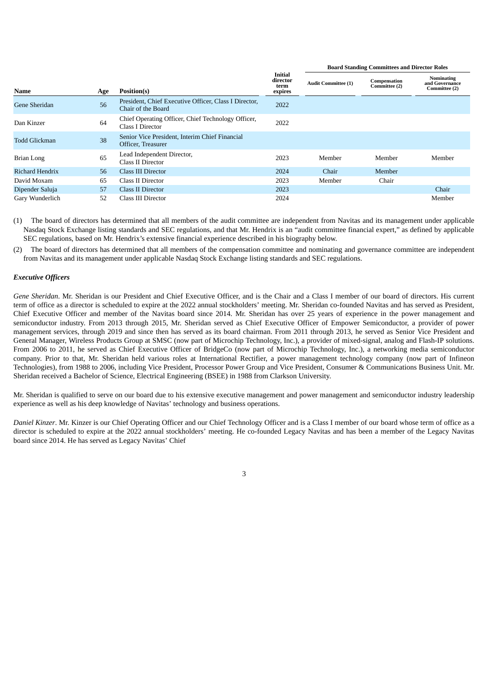|                        |     |                                                                             |                                               | <b>Board Standing Committees and Director Roles</b> |                               |                                               |  |
|------------------------|-----|-----------------------------------------------------------------------------|-----------------------------------------------|-----------------------------------------------------|-------------------------------|-----------------------------------------------|--|
| <b>Name</b>            | Age | Position(s)                                                                 | <b>Initial</b><br>director<br>term<br>expires | <b>Audit Committee (1)</b>                          | Compensation<br>Committee (2) | Nominating<br>and Governance<br>Committee (2) |  |
| Gene Sheridan          | 56  | President, Chief Executive Officer, Class I Director,<br>Chair of the Board | 2022                                          |                                                     |                               |                                               |  |
| Dan Kinzer             | 64  | Chief Operating Officer, Chief Technology Officer,<br>Class I Director      | 2022                                          |                                                     |                               |                                               |  |
| <b>Todd Glickman</b>   | 38  | Senior Vice President, Interim Chief Financial<br>Officer, Treasurer        |                                               |                                                     |                               |                                               |  |
| Brian Long             | 65  | Lead Independent Director,<br>Class II Director                             | 2023                                          | Member                                              | Member                        | Member                                        |  |
| <b>Richard Hendrix</b> | 56  | Class III Director                                                          | 2024                                          | Chair                                               | Member                        |                                               |  |
| David Moxam            | 65  | Class II Director                                                           | 2023                                          | Member                                              | Chair                         |                                               |  |
| Dipender Saluja        | 57  | Class II Director                                                           | 2023                                          |                                                     |                               | Chair                                         |  |
| Gary Wunderlich        | 52  | Class III Director                                                          | 2024                                          |                                                     |                               | Member                                        |  |

- (1) The board of directors has determined that all members of the audit committee are independent from Navitas and its management under applicable Nasdaq Stock Exchange listing standards and SEC regulations, and that Mr. Hendrix is an "audit committee financial expert," as defined by applicable SEC regulations, based on Mr. Hendrix's extensive financial experience described in his biography below.
- (2) The board of directors has determined that all members of the compensation committee and nominating and governance committee are independent from Navitas and its management under applicable Nasdaq Stock Exchange listing standards and SEC regulations.

## *Executive Officers*

*Gene Sheridan*. Mr. Sheridan is our President and Chief Executive Officer, and is the Chair and a Class I member of our board of directors. His current term of office as a director is scheduled to expire at the 2022 annual stockholders' meeting. Mr. Sheridan co-founded Navitas and has served as President, Chief Executive Officer and member of the Navitas board since 2014. Mr. Sheridan has over 25 years of experience in the power management and semiconductor industry. From 2013 through 2015, Mr. Sheridan served as Chief Executive Officer of Empower Semiconductor, a provider of power management services, through 2019 and since then has served as its board chairman. From 2011 through 2013, he served as Senior Vice President and General Manager, Wireless Products Group at SMSC (now part of Microchip Technology, Inc.), a provider of mixed-signal, analog and Flash-IP solutions. From 2006 to 2011, he served as Chief Executive Officer of BridgeCo (now part of Microchip Technology, Inc.), a networking media semiconductor company. Prior to that, Mr. Sheridan held various roles at International Rectifier, a power management technology company (now part of Infineon Technologies), from 1988 to 2006, including Vice President, Processor Power Group and Vice President, Consumer & Communications Business Unit. Mr. Sheridan received a Bachelor of Science, Electrical Engineering (BSEE) in 1988 from Clarkson University.

Mr. Sheridan is qualified to serve on our board due to his extensive executive management and power management and semiconductor industry leadership experience as well as his deep knowledge of Navitas' technology and business operations.

*Daniel Kinzer*. Mr. Kinzer is our Chief Operating Officer and our Chief Technology Officer and is a Class I member of our board whose term of office as a director is scheduled to expire at the 2022 annual stockholders' meeting. He co-founded Legacy Navitas and has been a member of the Legacy Navitas board since 2014. He has served as Legacy Navitas' Chief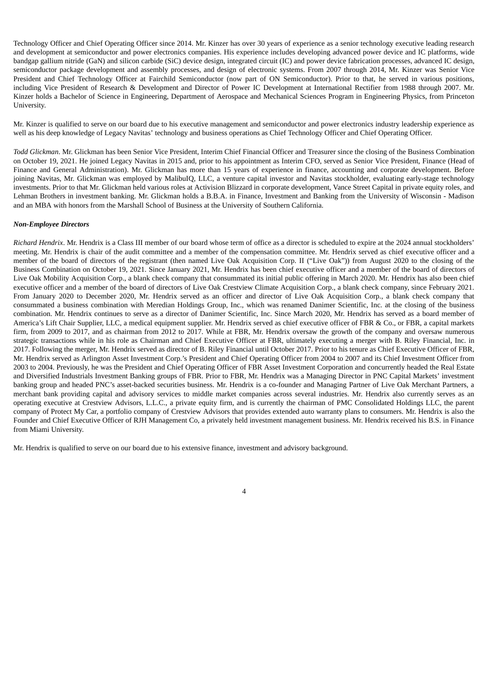Technology Officer and Chief Operating Officer since 2014. Mr. Kinzer has over 30 years of experience as a senior technology executive leading research and development at semiconductor and power electronics companies. His experience includes developing advanced power device and IC platforms, wide bandgap gallium nitride (GaN) and silicon carbide (SiC) device design, integrated circuit (IC) and power device fabrication processes, advanced IC design, semiconductor package development and assembly processes, and design of electronic systems. From 2007 through 2014, Mr. Kinzer was Senior Vice President and Chief Technology Officer at Fairchild Semiconductor (now part of ON Semiconductor). Prior to that, he served in various positions, including Vice President of Research & Development and Director of Power IC Development at International Rectifier from 1988 through 2007. Mr. Kinzer holds a Bachelor of Science in Engineering, Department of Aerospace and Mechanical Sciences Program in Engineering Physics, from Princeton University.

Mr. Kinzer is qualified to serve on our board due to his executive management and semiconductor and power electronics industry leadership experience as well as his deep knowledge of Legacy Navitas' technology and business operations as Chief Technology Officer and Chief Operating Officer.

*Todd Glickman*. Mr. Glickman has been Senior Vice President, Interim Chief Financial Officer and Treasurer since the closing of the Business Combination on October 19, 2021. He joined Legacy Navitas in 2015 and, prior to his appointment as Interim CFO, served as Senior Vice President, Finance (Head of Finance and General Administration). Mr. Glickman has more than 15 years of experience in finance, accounting and corporate development. Before joining Navitas, Mr. Glickman was employed by MalibuIQ, LLC, a venture capital investor and Navitas stockholder, evaluating early-stage technology investments. Prior to that Mr. Glickman held various roles at Activision Blizzard in corporate development, Vance Street Capital in private equity roles, and Lehman Brothers in investment banking. Mr. Glickman holds a B.B.A. in Finance, Investment and Banking from the University of Wisconsin - Madison and an MBA with honors from the Marshall School of Business at the University of Southern California.

#### *Non-Employee Directors*

*Richard Hendrix*. Mr. Hendrix is a Class III member of our board whose term of office as a director is scheduled to expire at the 2024 annual stockholders' meeting. Mr. Hendrix is chair of the audit committee and a member of the compensation committee. Mr. Hendrix served as chief executive officer and a member of the board of directors of the registrant (then named Live Oak Acquisition Corp. II ("Live Oak")) from August 2020 to the closing of the Business Combination on October 19, 2021. Since January 2021, Mr. Hendrix has been chief executive officer and a member of the board of directors of Live Oak Mobility Acquisition Corp., a blank check company that consummated its initial public offering in March 2020. Mr. Hendrix has also been chief executive officer and a member of the board of directors of Live Oak Crestview Climate Acquisition Corp., a blank check company, since February 2021. From January 2020 to December 2020, Mr. Hendrix served as an officer and director of Live Oak Acquisition Corp., a blank check company that consummated a business combination with Meredian Holdings Group, Inc., which was renamed Danimer Scientific, Inc. at the closing of the business combination. Mr. Hendrix continues to serve as a director of Danimer Scientific, Inc. Since March 2020, Mr. Hendrix has served as a board member of America's Lift Chair Supplier, LLC, a medical equipment supplier. Mr. Hendrix served as chief executive officer of FBR & Co., or FBR, a capital markets firm, from 2009 to 2017, and as chairman from 2012 to 2017. While at FBR, Mr. Hendrix oversaw the growth of the company and oversaw numerous strategic transactions while in his role as Chairman and Chief Executive Officer at FBR, ultimately executing a merger with B. Riley Financial, Inc. in 2017. Following the merger, Mr. Hendrix served as director of B. Riley Financial until October 2017. Prior to his tenure as Chief Executive Officer of FBR, Mr. Hendrix served as Arlington Asset Investment Corp.'s President and Chief Operating Officer from 2004 to 2007 and its Chief Investment Officer from 2003 to 2004. Previously, he was the President and Chief Operating Officer of FBR Asset Investment Corporation and concurrently headed the Real Estate and Diversified Industrials Investment Banking groups of FBR. Prior to FBR, Mr. Hendrix was a Managing Director in PNC Capital Markets' investment banking group and headed PNC's asset-backed securities business. Mr. Hendrix is a co-founder and Managing Partner of Live Oak Merchant Partners, a merchant bank providing capital and advisory services to middle market companies across several industries. Mr. Hendrix also currently serves as an operating executive at Crestview Advisors, L.L.C., a private equity firm, and is currently the chairman of PMC Consolidated Holdings LLC, the parent company of Protect My Car, a portfolio company of Crestview Advisors that provides extended auto warranty plans to consumers. Mr. Hendrix is also the Founder and Chief Executive Officer of RJH Management Co, a privately held investment management business. Mr. Hendrix received his B.S. in Finance from Miami University.

Mr. Hendrix is qualified to serve on our board due to his extensive finance, investment and advisory background.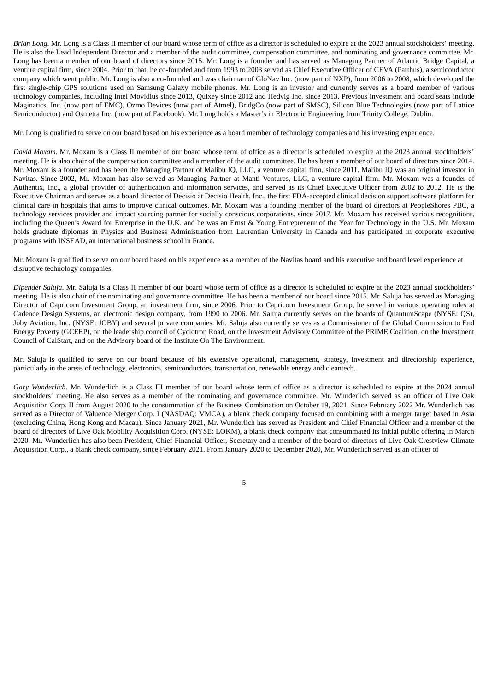*Brian Long*. Mr. Long is a Class II member of our board whose term of office as a director is scheduled to expire at the 2023 annual stockholders' meeting. He is also the Lead Independent Director and a member of the audit committee, compensation committee, and nominating and governance committee. Mr. Long has been a member of our board of directors since 2015. Mr. Long is a founder and has served as Managing Partner of Atlantic Bridge Capital, a venture capital firm, since 2004. Prior to that, he co-founded and from 1993 to 2003 served as Chief Executive Officer of CEVA (Parthus), a semiconductor company which went public. Mr. Long is also a co-founded and was chairman of GloNav Inc. (now part of NXP), from 2006 to 2008, which developed the first single-chip GPS solutions used on Samsung Galaxy mobile phones. Mr. Long is an investor and currently serves as a board member of various technology companies, including Intel Movidius since 2013, Quixey since 2012 and Hedvig Inc. since 2013. Previous investment and board seats include Maginatics, Inc. (now part of EMC), Ozmo Devices (now part of Atmel), BridgCo (now part of SMSC), Silicon Blue Technologies (now part of Lattice Semiconductor) and Osmetta Inc. (now part of Facebook). Mr. Long holds a Master's in Electronic Engineering from Trinity College, Dublin.

Mr. Long is qualified to serve on our board based on his experience as a board member of technology companies and his investing experience.

*David Moxam.* Mr. Moxam is a Class II member of our board whose term of office as a director is scheduled to expire at the 2023 annual stockholders' meeting. He is also chair of the compensation committee and a member of the audit committee. He has been a member of our board of directors since 2014. Mr. Moxam is a founder and has been the Managing Partner of Malibu IQ, LLC, a venture capital firm, since 2011. Malibu IQ was an original investor in Navitas. Since 2002, Mr. Moxam has also served as Managing Partner at Manti Ventures, LLC, a venture capital firm. Mr. Moxam was a founder of Authentix, Inc., a global provider of authentication and information services, and served as its Chief Executive Officer from 2002 to 2012. He is the Executive Chairman and serves as a board director of Decisio at Decisio Health, Inc., the first FDA-accepted clinical decision support software platform for clinical care in hospitals that aims to improve clinical outcomes. Mr. Moxam was a founding member of the board of directors at PeopleShores PBC, a technology services provider and impact sourcing partner for socially conscious corporations, since 2017. Mr. Moxam has received various recognitions, including the Queen's Award for Enterprise in the U.K. and he was an Ernst & Young Entrepreneur of the Year for Technology in the U.S. Mr. Moxam holds graduate diplomas in Physics and Business Administration from Laurentian University in Canada and has participated in corporate executive programs with INSEAD, an international business school in France.

Mr. Moxam is qualified to serve on our board based on his experience as a member of the Navitas board and his executive and board level experience at disruptive technology companies.

*Dipender Saluja*. Mr. Saluja is a Class II member of our board whose term of office as a director is scheduled to expire at the 2023 annual stockholders' meeting. He is also chair of the nominating and governance committee. He has been a member of our board since 2015. Mr. Saluja has served as Managing Director of Capricorn Investment Group, an investment firm, since 2006. Prior to Capricorn Investment Group, he served in various operating roles at Cadence Design Systems, an electronic design company, from 1990 to 2006. Mr. Saluja currently serves on the boards of QuantumScape (NYSE: QS), Joby Aviation, Inc. (NYSE: JOBY) and several private companies. Mr. Saluja also currently serves as a Commissioner of the Global Commission to End Energy Poverty (GCEEP), on the leadership council of Cyclotron Road, on the Investment Advisory Committee of the PRIME Coalition, on the Investment Council of CalStart, and on the Advisory board of the Institute On The Environment.

Mr. Saluja is qualified to serve on our board because of his extensive operational, management, strategy, investment and directorship experience, particularly in the areas of technology, electronics, semiconductors, transportation, renewable energy and cleantech.

*Gary Wunderlich.* Mr. Wunderlich is a Class III member of our board whose term of office as a director is scheduled to expire at the 2024 annual stockholders' meeting. He also serves as a member of the nominating and governance committee. Mr. Wunderlich served as an officer of Live Oak Acquisition Corp. II from August 2020 to the consummation of the Business Combination on October 19, 2021. Since February 2022 Mr. Wunderlich has served as a Director of Valuence Merger Corp. I (NASDAQ: VMCA), a blank check company focused on combining with a merger target based in Asia (excluding China, Hong Kong and Macau). Since January 2021, Mr. Wunderlich has served as President and Chief Financial Officer and a member of the board of directors of Live Oak Mobility Acquisition Corp. (NYSE: LOKM), a blank check company that consummated its initial public offering in March 2020. Mr. Wunderlich has also been President, Chief Financial Officer, Secretary and a member of the board of directors of Live Oak Crestview Climate Acquisition Corp., a blank check company, since February 2021. From January 2020 to December 2020, Mr. Wunderlich served as an officer of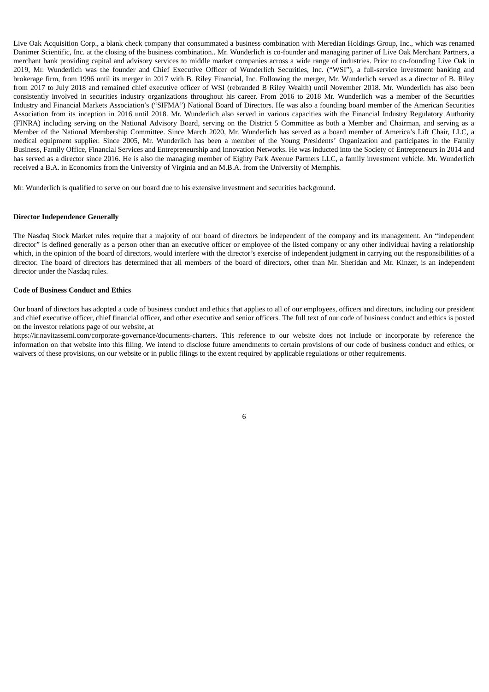Live Oak Acquisition Corp., a blank check company that consummated a business combination with Meredian Holdings Group, Inc., which was renamed Danimer Scientific, Inc. at the closing of the business combination.. Mr. Wunderlich is co-founder and managing partner of Live Oak Merchant Partners, a merchant bank providing capital and advisory services to middle market companies across a wide range of industries. Prior to co-founding Live Oak in 2019, Mr. Wunderlich was the founder and Chief Executive Officer of Wunderlich Securities, Inc. ("WSI"), a full-service investment banking and brokerage firm, from 1996 until its merger in 2017 with B. Riley Financial, Inc. Following the merger, Mr. Wunderlich served as a director of B. Riley from 2017 to July 2018 and remained chief executive officer of WSI (rebranded B Riley Wealth) until November 2018. Mr. Wunderlich has also been consistently involved in securities industry organizations throughout his career. From 2016 to 2018 Mr. Wunderlich was a member of the Securities Industry and Financial Markets Association's ("SIFMA") National Board of Directors. He was also a founding board member of the American Securities Association from its inception in 2016 until 2018. Mr. Wunderlich also served in various capacities with the Financial Industry Regulatory Authority (FINRA) including serving on the National Advisory Board, serving on the District 5 Committee as both a Member and Chairman, and serving as a Member of the National Membership Committee. Since March 2020, Mr. Wunderlich has served as a board member of America's Lift Chair, LLC, a medical equipment supplier. Since 2005, Mr. Wunderlich has been a member of the Young Presidents' Organization and participates in the Family Business, Family Office, Financial Services and Entrepreneurship and Innovation Networks. He was inducted into the Society of Entrepreneurs in 2014 and has served as a director since 2016. He is also the managing member of Eighty Park Avenue Partners LLC, a family investment vehicle. Mr. Wunderlich received a B.A. in Economics from the University of Virginia and an M.B.A. from the University of Memphis.

Mr. Wunderlich is qualified to serve on our board due to his extensive investment and securities background.

#### **Director Independence Generally**

The Nasdaq Stock Market rules require that a majority of our board of directors be independent of the company and its management. An "independent director" is defined generally as a person other than an executive officer or employee of the listed company or any other individual having a relationship which, in the opinion of the board of directors, would interfere with the director's exercise of independent judgment in carrying out the responsibilities of a director. The board of directors has determined that all members of the board of directors, other than Mr. Sheridan and Mr. Kinzer, is an independent director under the Nasdaq rules.

#### **Code of Business Conduct and Ethics**

Our board of directors has adopted a code of business conduct and ethics that applies to all of our employees, officers and directors, including our president and chief executive officer, chief financial officer, and other executive and senior officers. The full text of our code of business conduct and ethics is posted on the investor relations page of our website, at

<span id="page-7-0"></span>https://ir.navitassemi.com/corporate-governance/documents-charters. This reference to our website does not include or incorporate by reference the information on that website into this filing. We intend to disclose future amendments to certain provisions of our code of business conduct and ethics, or waivers of these provisions, on our website or in public filings to the extent required by applicable regulations or other requirements.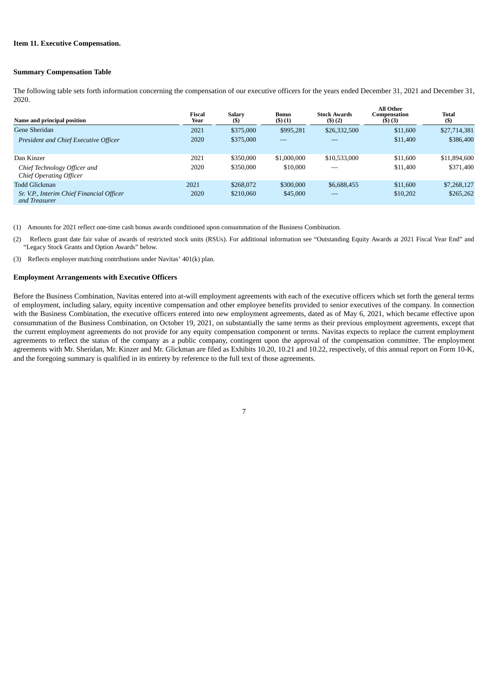#### **Item 11. Executive Compensation.**

#### **Summary Compensation Table**

The following table sets forth information concerning the compensation of our executive officers for the years ended December 31, 2021 and December 31, 2020.

**All Other**

| Name and principal position                                    | <b>Fiscal</b><br>Year | Salary<br>(\$) | <b>Bonus</b><br>(5)(1) | <b>Stock Awards</b><br>(3)(2) | ли ошег<br>Compensation<br>(3)(3) | Total<br>$($ \$) |
|----------------------------------------------------------------|-----------------------|----------------|------------------------|-------------------------------|-----------------------------------|------------------|
| Gene Sheridan                                                  | 2021                  | \$375,000      | \$995,281              | \$26,332,500                  | \$11,600                          | \$27,714,381     |
| President and Chief Executive Officer                          | 2020                  | \$375,000      |                        |                               | \$11,400                          | \$386,400        |
| Dan Kinzer                                                     | 2021                  | \$350,000      | \$1,000,000            | \$10,533,000                  | \$11,600                          | \$11,894,600     |
| Chief Technology Officer and<br><b>Chief Operating Officer</b> | 2020                  | \$350,000      | \$10,000               |                               | \$11,400                          | \$371,400        |
| <b>Todd Glickman</b>                                           | 2021                  | \$268,072      | \$300,000              | \$6,688,455                   | \$11,600                          | \$7,268,127      |
| Sr. V.P., Interim Chief Financial Officer<br>and Treasurer     | 2020                  | \$210,060      | \$45,000               |                               | \$10,202                          | \$265,262        |

(1) Amounts for 2021 reflect one-time cash bonus awards conditioned upon consummation of the Business Combination.

(2) Reflects grant date fair value of awards of restricted stock units (RSUs). For additional information see "Outstanding Equity Awards at 2021 Fiscal Year End" and "Legacy Stock Grants and Option Awards" below.

(3) Reflects employer matching contributions under Navitas' 401(k) plan.

## **Employment Arrangements with Executive Officers**

Before the Business Combination, Navitas entered into at-will employment agreements with each of the executive officers which set forth the general terms of employment, including salary, equity incentive compensation and other employee benefits provided to senior executives of the company. In connection with the Business Combination, the executive officers entered into new employment agreements, dated as of May 6, 2021, which became effective upon consummation of the Business Combination, on October 19, 2021, on substantially the same terms as their previous employment agreements, except that the current employment agreements do not provide for any equity compensation component or terms. Navitas expects to replace the current employment agreements to reflect the status of the company as a public company, contingent upon the approval of the compensation committee. The employment agreements with Mr. Sheridan, Mr. Kinzer and Mr. Glickman are filed as Exhibits 10.20, 10.21 and 10.22, respectively, of this annual report on Form 10-K, and the foregoing summary is qualified in its entirety by reference to the full text of those agreements.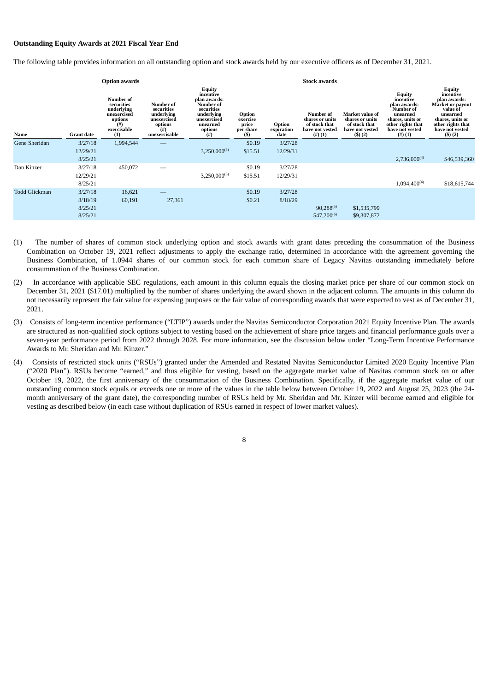#### **Outstanding Equity Awards at 2021 Fiscal Year End**

The following table provides information on all outstanding option and stock awards held by our executive officers as of December 31, 2021.

|                      |                   | <b>Option awards</b>                                                                  |                                                                                              |                                                                                                                                |                                                 |                              | <b>Stock awards</b>                                                        |                                                                                  |                                                                                                                                           |                                                                                                                                                              |
|----------------------|-------------------|---------------------------------------------------------------------------------------|----------------------------------------------------------------------------------------------|--------------------------------------------------------------------------------------------------------------------------------|-------------------------------------------------|------------------------------|----------------------------------------------------------------------------|----------------------------------------------------------------------------------|-------------------------------------------------------------------------------------------------------------------------------------------|--------------------------------------------------------------------------------------------------------------------------------------------------------------|
| Name                 | <b>Grant date</b> | Number of<br>securities<br>underlying<br>unexercised<br>options<br>exercisable<br>(1) | Number of<br>securities<br>underlying<br>unexercised<br>options<br>$^{(#)}$<br>unexercisable | Equity<br>incentive<br>plan awards:<br>Number of<br>securities<br>underlying<br>unexercised<br>unearned<br>options<br>$^{(#)}$ | Option<br>exercise<br>price<br>per share<br>(S) | Option<br>expiration<br>date | Number of<br>shares or units<br>of stock that<br>have not vested<br>(4)(1) | Market value of<br>shares or units<br>of stock that<br>have not vested<br>(5)(2) | <b>Equity</b><br>incentive<br>plan awards:<br>Number of<br>unearned<br>shares, units or<br>other rights that<br>have not vested<br>(4)(1) | <b>Equity</b><br>incentive<br>plan awards:<br>Market or payout<br>value of<br>unearned<br>shares, units or<br>other rights that<br>have not vested<br>(5)(2) |
| Gene Sheridan        | 3/27/18           | 1,994,544                                                                             |                                                                                              |                                                                                                                                | \$0.19                                          | 3/27/28                      |                                                                            |                                                                                  |                                                                                                                                           |                                                                                                                                                              |
|                      | 12/29/21          |                                                                                       |                                                                                              | $3,250,000^{(3)}$                                                                                                              | \$15.51                                         | 12/29/31                     |                                                                            |                                                                                  |                                                                                                                                           |                                                                                                                                                              |
|                      | 8/25/21           |                                                                                       |                                                                                              |                                                                                                                                |                                                 |                              |                                                                            |                                                                                  | $2,736,000^{(4)}$                                                                                                                         | \$46,539,360                                                                                                                                                 |
| Dan Kinzer           | 3/27/18           | 450,072                                                                               | —                                                                                            |                                                                                                                                | \$0.19                                          | 3/27/28                      |                                                                            |                                                                                  |                                                                                                                                           |                                                                                                                                                              |
|                      | 12/29/21          |                                                                                       |                                                                                              | $3,250,000^{(3)}$                                                                                                              | \$15.51                                         | 12/29/31                     |                                                                            |                                                                                  |                                                                                                                                           |                                                                                                                                                              |
|                      | 8/25/21           |                                                                                       |                                                                                              |                                                                                                                                |                                                 |                              |                                                                            |                                                                                  | $1,094,400^{(4)}$                                                                                                                         | \$18,615,744                                                                                                                                                 |
| <b>Todd Glickman</b> | 3/27/18           | 16,621                                                                                |                                                                                              |                                                                                                                                | \$0.19                                          | 3/27/28                      |                                                                            |                                                                                  |                                                                                                                                           |                                                                                                                                                              |
|                      | 8/18/19           | 60,191                                                                                | 27,361                                                                                       |                                                                                                                                | \$0.21                                          | 8/18/29                      |                                                                            |                                                                                  |                                                                                                                                           |                                                                                                                                                              |
|                      | 8/25/21           |                                                                                       |                                                                                              |                                                                                                                                |                                                 |                              | $90,288^{(5)}$                                                             | \$1,535,799                                                                      |                                                                                                                                           |                                                                                                                                                              |
|                      | 8/25/21           |                                                                                       |                                                                                              |                                                                                                                                |                                                 |                              | $547,200^{(6)}$                                                            | \$9,307,872                                                                      |                                                                                                                                           |                                                                                                                                                              |

- (1) The number of shares of common stock underlying option and stock awards with grant dates preceding the consummation of the Business Combination on October 19, 2021 reflect adjustments to apply the exchange ratio, determined in accordance with the agreement governing the Business Combination, of 1.0944 shares of our common stock for each common share of Legacy Navitas outstanding immediately before consummation of the Business Combination.
- (2) In accordance with applicable SEC regulations, each amount in this column equals the closing market price per share of our common stock on December 31, 2021 (\$17.01) multiplied by the number of shares underlying the award shown in the adjacent column. The amounts in this column do not necessarily represent the fair value for expensing purposes or the fair value of corresponding awards that were expected to vest as of December 31, 2021.
- (3) Consists of long-term incentive performance ("LTIP") awards under the Navitas Semiconductor Corporation 2021 Equity Incentive Plan. The awards are structured as non-qualified stock options subject to vesting based on the achievement of share price targets and financial performance goals over a seven-year performance period from 2022 through 2028. For more information, see the discussion below under "Long-Term Incentive Performance Awards to Mr. Sheridan and Mr. Kinzer."
- (4) Consists of restricted stock units ("RSUs") granted under the Amended and Restated Navitas Semiconductor Limited 2020 Equity Incentive Plan ("2020 Plan"). RSUs become "earned," and thus eligible for vesting, based on the aggregate market value of Navitas common stock on or after October 19, 2022, the first anniversary of the consummation of the Business Combination. Specifically, if the aggregate market value of our outstanding common stock equals or exceeds one or more of the values in the table below between October 19, 2022 and August 25, 2023 (the 24 month anniversary of the grant date), the corresponding number of RSUs held by Mr. Sheridan and Mr. Kinzer will become earned and eligible for vesting as described below (in each case without duplication of RSUs earned in respect of lower market values).
	- 8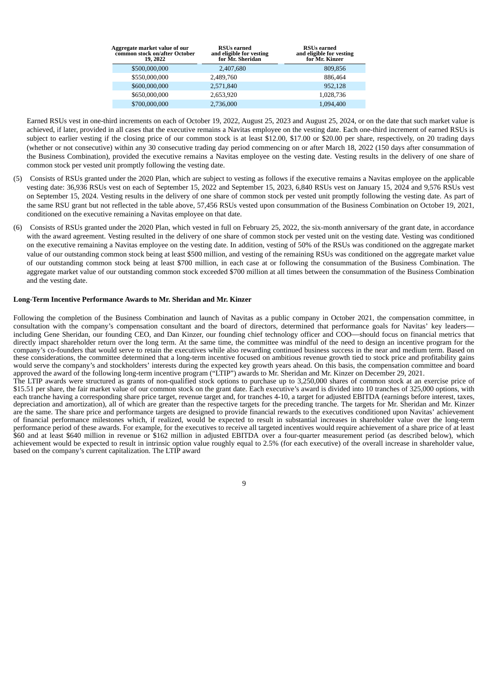| Aggregate market value of our<br>common stock on/after October<br>19, 2022 | <b>RSUs earned</b><br>and eligible for vesting<br>for Mr. Sheridan | <b>RSUs earned</b><br>and eligible for vesting<br>for Mr. Kinzer |
|----------------------------------------------------------------------------|--------------------------------------------------------------------|------------------------------------------------------------------|
| \$500,000,000                                                              | 2,407,680                                                          | 809,856                                                          |
| \$550,000,000                                                              | 2,489,760                                                          | 886,464                                                          |
| \$600,000,000                                                              | 2,571,840                                                          | 952,128                                                          |
| \$650,000,000                                                              | 2,653,920                                                          | 1,028,736                                                        |
| \$700,000,000                                                              | 2,736,000                                                          | 1,094,400                                                        |

Earned RSUs vest in one-third increments on each of October 19, 2022, August 25, 2023 and August 25, 2024, or on the date that such market value is achieved, if later, provided in all cases that the executive remains a Navitas employee on the vesting date. Each one-third increment of earned RSUs is subject to earlier vesting if the closing price of our common stock is at least \$12.00, \$17.00 or \$20.00 per share, respectively, on 20 trading days (whether or not consecutive) within any 30 consecutive trading day period commencing on or after March 18, 2022 (150 days after consummation of the Business Combination), provided the executive remains a Navitas employee on the vesting date. Vesting results in the delivery of one share of common stock per vested unit promptly following the vesting date.

- (5) Consists of RSUs granted under the 2020 Plan, which are subject to vesting as follows if the executive remains a Navitas employee on the applicable vesting date: 36,936 RSUs vest on each of September 15, 2022 and September 15, 2023, 6,840 RSUs vest on January 15, 2024 and 9,576 RSUs vest on September 15, 2024. Vesting results in the delivery of one share of common stock per vested unit promptly following the vesting date. As part of the same RSU grant but not reflected in the table above, 57,456 RSUs vested upon consummation of the Business Combination on October 19, 2021, conditioned on the executive remaining a Navitas employee on that date.
- (6) Consists of RSUs granted under the 2020 Plan, which vested in full on February 25, 2022, the six-month anniversary of the grant date, in accordance with the award agreement. Vesting resulted in the delivery of one share of common stock per vested unit on the vesting date. Vesting was conditioned on the executive remaining a Navitas employee on the vesting date. In addition, vesting of 50% of the RSUs was conditioned on the aggregate market value of our outstanding common stock being at least \$500 million, and vesting of the remaining RSUs was conditioned on the aggregate market value of our outstanding common stock being at least \$700 million, in each case at or following the consummation of the Business Combination. The aggregate market value of our outstanding common stock exceeded \$700 million at all times between the consummation of the Business Combination and the vesting date.

#### **Long-Term Incentive Performance Awards to Mr. Sheridan and Mr. Kinzer**

based on the company's current capitalization. The LTIP award

Following the completion of the Business Combination and launch of Navitas as a public company in October 2021, the compensation committee, in consultation with the company's compensation consultant and the board of directors, determined that performance goals for Navitas' key leaders including Gene Sheridan, our founding CEO, and Dan Kinzer, our founding chief technology officer and COO—should focus on financial metrics that directly impact shareholder return over the long term. At the same time, the committee was mindful of the need to design an incentive program for the company's co-founders that would serve to retain the executives while also rewarding continued business success in the near and medium term. Based on these considerations, the committee determined that a long-term incentive focused on ambitious revenue growth tied to stock price and profitability gains would serve the company's and stockholders' interests during the expected key growth years ahead. On this basis, the compensation committee and board approved the award of the following long-term incentive program ("LTIP") awards to Mr. Sheridan and Mr. Kinzer on December 29, 2021. The LTIP awards were structured as grants of non-qualified stock options to purchase up to 3,250,000 shares of common stock at an exercise price of \$15.51 per share, the fair market value of our common stock on the grant date. Each executive's award is divided into 10 tranches of 325,000 options, with each tranche having a corresponding share price target, revenue target and, for tranches 4-10, a target for adjusted EBITDA (earnings before interest, taxes, depreciation and amortization), all of which are greater than the respective targets for the preceding tranche. The targets for Mr. Sheridan and Mr. Kinzer are the same. The share price and performance targets are designed to provide financial rewards to the executives conditioned upon Navitas' achievement of financial performance milestones which, if realized, would be expected to result in substantial increases in shareholder value over the long-term performance period of these awards. For example, for the executives to receive all targeted incentives would require achievement of a share price of at least \$60 and at least \$640 million in revenue or \$162 million in adjusted EBITDA over a four-quarter measurement period (as described below), which

achievement would be expected to result in intrinsic option value roughly equal to 2.5% (for each executive) of the overall increase in shareholder value,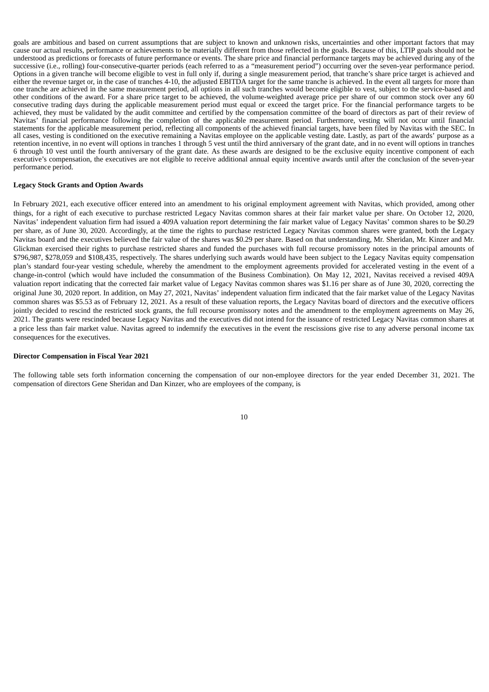goals are ambitious and based on current assumptions that are subject to known and unknown risks, uncertainties and other important factors that may cause our actual results, performance or achievements to be materially different from those reflected in the goals. Because of this, LTIP goals should not be understood as predictions or forecasts of future performance or events. The share price and financial performance targets may be achieved during any of the successive (i.e., rolling) four-consecutive-quarter periods (each referred to as a "measurement period") occurring over the seven-year performance period. Options in a given tranche will become eligible to vest in full only if, during a single measurement period, that tranche's share price target is achieved and either the revenue target or, in the case of tranches 4-10, the adjusted EBITDA target for the same tranche is achieved. In the event all targets for more than one tranche are achieved in the same measurement period, all options in all such tranches would become eligible to vest, subject to the service-based and other conditions of the award. For a share price target to be achieved, the volume-weighted average price per share of our common stock over any 60 consecutive trading days during the applicable measurement period must equal or exceed the target price. For the financial performance targets to be achieved, they must be validated by the audit committee and certified by the compensation committee of the board of directors as part of their review of Navitas' financial performance following the completion of the applicable measurement period. Furthermore, vesting will not occur until financial statements for the applicable measurement period, reflecting all components of the achieved financial targets, have been filed by Navitas with the SEC. In all cases, vesting is conditioned on the executive remaining a Navitas employee on the applicable vesting date. Lastly, as part of the awards' purpose as a retention incentive, in no event will options in tranches 1 through 5 vest until the third anniversary of the grant date, and in no event will options in tranches 6 through 10 vest until the fourth anniversary of the grant date. As these awards are designed to be the exclusive equity incentive component of each executive's compensation, the executives are not eligible to receive additional annual equity incentive awards until after the conclusion of the seven-year performance period.

#### **Legacy Stock Grants and Option Awards**

In February 2021, each executive officer entered into an amendment to his original employment agreement with Navitas, which provided, among other things, for a right of each executive to purchase restricted Legacy Navitas common shares at their fair market value per share. On October 12, 2020, Navitas' independent valuation firm had issued a 409A valuation report determining the fair market value of Legacy Navitas' common shares to be \$0.29 per share, as of June 30, 2020. Accordingly, at the time the rights to purchase restricted Legacy Navitas common shares were granted, both the Legacy Navitas board and the executives believed the fair value of the shares was \$0.29 per share. Based on that understanding, Mr. Sheridan, Mr. Kinzer and Mr. Glickman exercised their rights to purchase restricted shares and funded the purchases with full recourse promissory notes in the principal amounts of \$796,987, \$278,059 and \$108,435, respectively. The shares underlying such awards would have been subject to the Legacy Navitas equity compensation plan's standard four-year vesting schedule, whereby the amendment to the employment agreements provided for accelerated vesting in the event of a change-in-control (which would have included the consummation of the Business Combination). On May 12, 2021, Navitas received a revised 409A valuation report indicating that the corrected fair market value of Legacy Navitas common shares was \$1.16 per share as of June 30, 2020, correcting the original June 30, 2020 report. In addition, on May 27, 2021, Navitas' independent valuation firm indicated that the fair market value of the Legacy Navitas common shares was \$5.53 as of February 12, 2021. As a result of these valuation reports, the Legacy Navitas board of directors and the executive officers jointly decided to rescind the restricted stock grants, the full recourse promissory notes and the amendment to the employment agreements on May 26, 2021. The grants were rescinded because Legacy Navitas and the executives did not intend for the issuance of restricted Legacy Navitas common shares at a price less than fair market value. Navitas agreed to indemnify the executives in the event the rescissions give rise to any adverse personal income tax consequences for the executives.

#### **Director Compensation in Fiscal Year 2021**

The following table sets forth information concerning the compensation of our non-employee directors for the year ended December 31, 2021. The compensation of directors Gene Sheridan and Dan Kinzer, who are employees of the company, is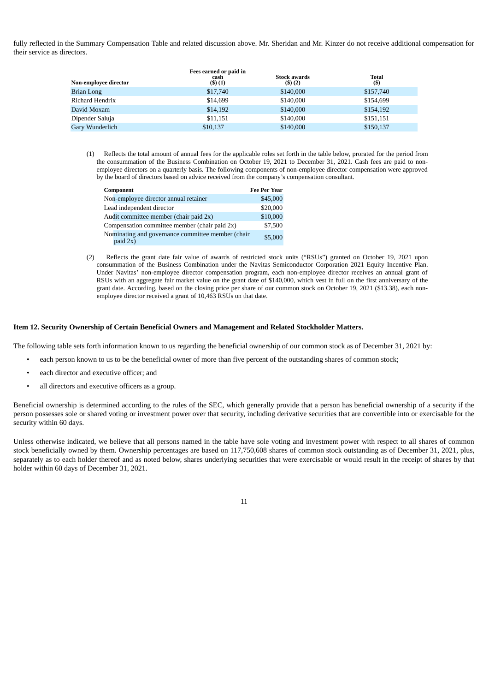fully reflected in the Summary Compensation Table and related discussion above. Mr. Sheridan and Mr. Kinzer do not receive additional compensation for their service as directors.

| Non-employee director | Fees earned or paid in<br>cash<br>(3)(1) | <b>Stock awards</b><br>(5)(2) | <b>Total</b><br>$($)$ |
|-----------------------|------------------------------------------|-------------------------------|-----------------------|
| Brian Long            | \$17,740                                 | \$140,000                     | \$157,740             |
| Richard Hendrix       | \$14,699                                 | \$140,000                     | \$154,699             |
| David Moxam           | \$14,192                                 | \$140,000                     | \$154,192             |
| Dipender Saluja       | \$11,151                                 | \$140,000                     | \$151,151             |
| Gary Wunderlich       | \$10,137                                 | \$140,000                     | \$150,137             |

(1) Reflects the total amount of annual fees for the applicable roles set forth in the table below, prorated for the period from the consummation of the Business Combination on October 19, 2021 to December 31, 2021. Cash fees are paid to nonemployee directors on a quarterly basis. The following components of non-employee director compensation were approved by the board of directors based on advice received from the company's compensation consultant.

| Component                                                     | <b>Fee Per Year</b> |
|---------------------------------------------------------------|---------------------|
| Non-employee director annual retainer                         | \$45,000            |
| Lead independent director                                     | \$20,000            |
| Audit committee member (chair paid 2x)                        | \$10,000            |
| Compensation committee member (chair paid 2x)                 | \$7,500             |
| Nominating and governance committee member (chair<br>paid 2x) | \$5,000             |

(2) Reflects the grant date fair value of awards of restricted stock units ("RSUs") granted on October 19, 2021 upon consummation of the Business Combination under the Navitas Semiconductor Corporation 2021 Equity Incentive Plan. Under Navitas' non-employee director compensation program, each non-employee director receives an annual grant of RSUs with an aggregate fair market value on the grant date of \$140,000, which vest in full on the first anniversary of the grant date. According, based on the closing price per share of our common stock on October 19, 2021 (\$13.38), each nonemployee director received a grant of 10,463 RSUs on that date.

#### <span id="page-12-0"></span>**Item 12. Security Ownership of Certain Beneficial Owners and Management and Related Stockholder Matters.**

The following table sets forth information known to us regarding the beneficial ownership of our common stock as of December 31, 2021 by:

- each person known to us to be the beneficial owner of more than five percent of the outstanding shares of common stock;
- each director and executive officer; and
- all directors and executive officers as a group.

Beneficial ownership is determined according to the rules of the SEC, which generally provide that a person has beneficial ownership of a security if the person possesses sole or shared voting or investment power over that security, including derivative securities that are convertible into or exercisable for the security within 60 days.

Unless otherwise indicated, we believe that all persons named in the table have sole voting and investment power with respect to all shares of common stock beneficially owned by them. Ownership percentages are based on 117,750,608 shares of common stock outstanding as of December 31, 2021, plus, separately as to each holder thereof and as noted below, shares underlying securities that were exercisable or would result in the receipt of shares by that holder within 60 days of December 31, 2021.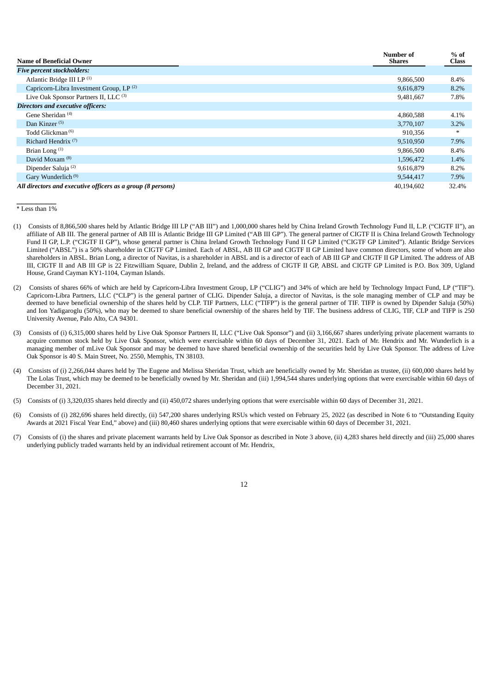| <b>Name of Beneficial Owner</b>                             | Number of<br>Shares | $%$ of<br><b>Class</b> |
|-------------------------------------------------------------|---------------------|------------------------|
| <b>Five percent stockholders:</b>                           |                     |                        |
| Atlantic Bridge III LP <sup>(1)</sup>                       | 9,866,500           | 8.4%                   |
| Capricorn-Libra Investment Group, LP <sup>(2)</sup>         | 9,616,879           | 8.2%                   |
| Live Oak Sponsor Partners II, LLC (3)                       | 9,481,667           | 7.8%                   |
| <b>Directors and executive officers:</b>                    |                     |                        |
| Gene Sheridan <sup>(4)</sup>                                | 4,860,588           | 4.1%                   |
| Dan Kinzer $(5)$                                            | 3,770,107           | 3.2%                   |
| Todd Glickman <sup>(6)</sup>                                | 910,356             | $\ast$                 |
| Richard Hendrix <sup>(7)</sup>                              | 9,510,950           | 7.9%                   |
| Brian Long $(1)$                                            | 9,866,500           | 8.4%                   |
| David Moxam $(8)$                                           | 1,596,472           | 1.4%                   |
| Dipender Saluja <sup>(2)</sup>                              | 9,616,879           | 8.2%                   |
| Gary Wunderlich <sup>(9)</sup>                              | 9,544,417           | 7.9%                   |
| All directors and executive officers as a group (8 persons) | 40,194,602          | 32.4%                  |

#### $\frac{1}{2}$ \* Less than 1%

- (1) Consists of 8,866,500 shares held by Atlantic Bridge III LP ("AB III") and 1,000,000 shares held by China Ireland Growth Technology Fund II, L.P. ("CIGTF II"), an affiliate of AB III. The general partner of AB III is Atlantic Bridge III GP Limited ("AB III GP"). The general partner of CIGTF II is China Ireland Growth Technology Fund II GP, L.P. ("CIGTF II GP"), whose general partner is China Ireland Growth Technology Fund II GP Limited ("CIGTF GP Limited"). Atlantic Bridge Services Limited ("ABSL") is a 50% shareholder in CIGTF GP Limited. Each of ABSL, AB III GP and CIGTF II GP Limited have common directors, some of whom are also shareholders in ABSL. Brian Long, a director of Navitas, is a shareholder in ABSL and is a director of each of AB III GP and CIGTF II GP Limited. The address of AB III, CIGTF II and AB III GP is 22 Fitzwilliam Square, Dublin 2, Ireland, and the address of CIGTF II GP, ABSL and CIGTF GP Limited is P.O. Box 309, Ugland House, Grand Cayman KY1-1104, Cayman Islands.
- (2) Consists of shares 66% of which are held by Capricorn-Libra Investment Group, LP ("CLIG") and 34% of which are held by Technology Impact Fund, LP ("TIF"). Capricorn-Libra Partners, LLC ("CLP") is the general partner of CLIG. Dipender Saluja, a director of Navitas, is the sole managing member of CLP and may be deemed to have beneficial ownership of the shares held by CLP. TIF Partners, LLC ("TIFP") is the general partner of TIF. TIFP is owned by Dipender Saluja (50%) and Ion Yadigaroglu (50%), who may be deemed to share beneficial ownership of the shares held by TIF. The business address of CLIG, TIF, CLP and TIFP is 250 University Avenue, Palo Alto, CA 94301.
- (3) Consists of (i) 6,315,000 shares held by Live Oak Sponsor Partners II, LLC ("Live Oak Sponsor") and (ii) 3,166,667 shares underlying private placement warrants to acquire common stock held by Live Oak Sponsor, which were exercisable within 60 days of December 31, 2021. Each of Mr. Hendrix and Mr. Wunderlich is a managing member of mLive Oak Sponsor and may be deemed to have shared beneficial ownership of the securities held by Live Oak Sponsor. The address of Live Oak Sponsor is 40 S. Main Street, No. 2550, Memphis, TN 38103.
- (4) Consists of (i) 2,266,044 shares held by The Eugene and Melissa Sheridan Trust, which are beneficially owned by Mr. Sheridan as trustee, (ii) 600,000 shares held by The Lolas Trust, which may be deemed to be beneficially owned by Mr. Sheridan and (iii) 1,994,544 shares underlying options that were exercisable within 60 days of December 31, 2021.
- (5) Consists of (i) 3,320,035 shares held directly and (ii) 450,072 shares underlying options that were exercisable within 60 days of December 31, 2021.
- (6) Consists of (i) 282,696 shares held directly, (ii) 547,200 shares underlying RSUs which vested on February 25, 2022 (as described in Note 6 to "Outstanding Equity Awards at 2021 Fiscal Year End," above) and (iii) 80,460 shares underlying options that were exercisable within 60 days of December 31, 2021.
- (7) Consists of (i) the shares and private placement warrants held by Live Oak Sponsor as described in Note 3 above, (ii) 4,283 shares held directly and (iii) 25,000 shares underlying publicly traded warrants held by an individual retirement account of Mr. Hendrix,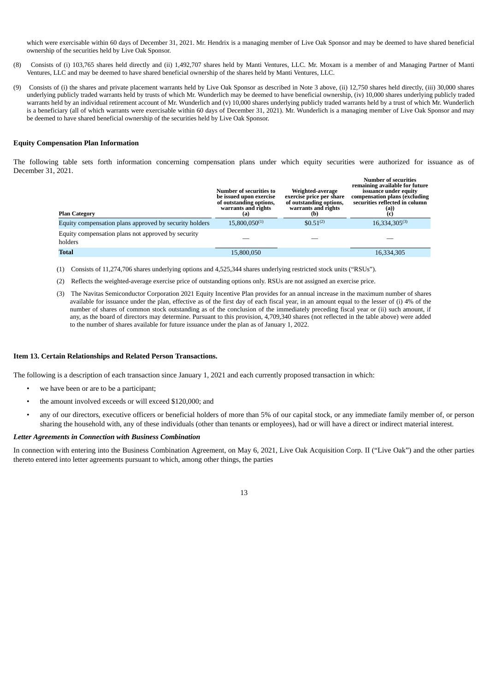which were exercisable within 60 days of December 31, 2021. Mr. Hendrix is a managing member of Live Oak Sponsor and may be deemed to have shared beneficial ownership of the securities held by Live Oak Sponsor.

- (8) Consists of (i) 103,765 shares held directly and (ii) 1,492,707 shares held by Manti Ventures, LLC. Mr. Moxam is a member of and Managing Partner of Manti Ventures, LLC and may be deemed to have shared beneficial ownership of the shares held by Manti Ventures, LLC.
- (9) Consists of (i) the shares and private placement warrants held by Live Oak Sponsor as described in Note 3 above, (ii) 12,750 shares held directly, (iii) 30,000 shares underlying publicly traded warrants held by trusts of which Mr. Wunderlich may be deemed to have beneficial ownership, (iv) 10,000 shares underlying publicly traded warrants held by an individual retirement account of Mr. Wunderlich and (v) 10,000 shares underlying publicly traded warrants held by a trust of which Mr. Wunderlich is a beneficiary (all of which warrants were exercisable within 60 days of December 31, 2021). Mr. Wunderlich is a managing member of Live Oak Sponsor and may be deemed to have shared beneficial ownership of the securities held by Live Oak Sponsor.

#### **Equity Compensation Plan Information**

The following table sets forth information concerning compensation plans under which equity securities were authorized for issuance as of December 31, 2021.

| <b>Plan Category</b>                                          | <b>Number of securities to</b><br>be issued upon exercise<br>of outstanding options,<br>warrants and rights<br>(a) | Weighted-average<br>exercise price per share<br>of outstanding options,<br>warrants and rights<br>(b) | <b>Number of securities</b><br>remaining available for future<br>issuance under equity<br>compensation plans (excluding<br>securities reflected in column<br>(a)) |
|---------------------------------------------------------------|--------------------------------------------------------------------------------------------------------------------|-------------------------------------------------------------------------------------------------------|-------------------------------------------------------------------------------------------------------------------------------------------------------------------|
| Equity compensation plans approved by security holders        | $15,800,050^{(1)}$                                                                                                 | $$0.51^{(2)}$$                                                                                        | $16,334,305^{(3)}$                                                                                                                                                |
| Equity compensation plans not approved by security<br>holders |                                                                                                                    |                                                                                                       |                                                                                                                                                                   |
| <b>Total</b>                                                  | 15,800,050                                                                                                         |                                                                                                       | 16,334,305                                                                                                                                                        |

(1) Consists of 11,274,706 shares underlying options and 4,525,344 shares underlying restricted stock units ("RSUs").

(2) Reflects the weighted-average exercise price of outstanding options only. RSUs are not assigned an exercise price.

(3) The Navitas Semiconductor Corporation 2021 Equity Incentive Plan provides for an annual increase in the maximum number of shares available for issuance under the plan, effective as of the first day of each fiscal year, in an amount equal to the lesser of (i) 4% of the number of shares of common stock outstanding as of the conclusion of the immediately preceding fiscal year or (ii) such amount, if any, as the board of directors may determine. Pursuant to this provision, 4,709,340 shares (not reflected in the table above) were added to the number of shares available for future issuance under the plan as of January 1, 2022.

#### <span id="page-14-0"></span>**Item 13. Certain Relationships and Related Person Transactions.**

The following is a description of each transaction since January 1, 2021 and each currently proposed transaction in which:

- we have been or are to be a participant;
- the amount involved exceeds or will exceed \$120,000; and
- any of our directors, executive officers or beneficial holders of more than 5% of our capital stock, or any immediate family member of, or person sharing the household with, any of these individuals (other than tenants or employees), had or will have a direct or indirect material interest.

### *Letter Agreements in Connection with Business Combination*

In connection with entering into the Business Combination Agreement, on May 6, 2021, Live Oak Acquisition Corp. II ("Live Oak") and the other parties thereto entered into letter agreements pursuant to which, among other things, the parties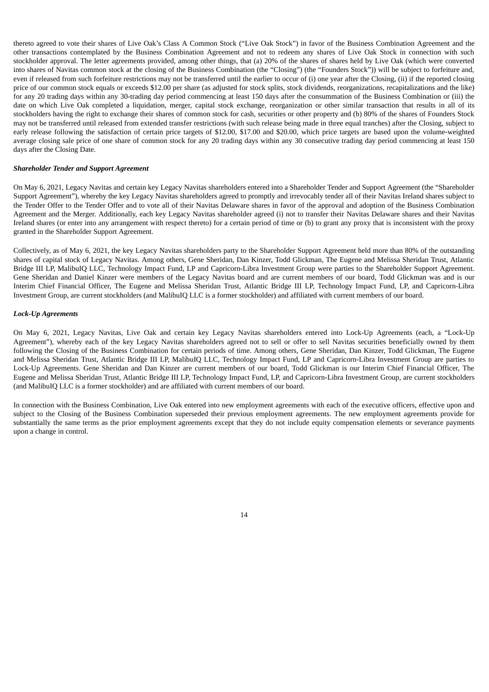thereto agreed to vote their shares of Live Oak's Class A Common Stock ("Live Oak Stock") in favor of the Business Combination Agreement and the other transactions contemplated by the Business Combination Agreement and not to redeem any shares of Live Oak Stock in connection with such stockholder approval. The letter agreements provided, among other things, that (a) 20% of the shares of shares held by Live Oak (which were converted into shares of Navitas common stock at the closing of the Business Combination (the "Closing") (the "Founders Stock")) will be subject to forfeiture and, even if released from such forfeiture restrictions may not be transferred until the earlier to occur of (i) one year after the Closing, (ii) if the reported closing price of our common stock equals or exceeds \$12.00 per share (as adjusted for stock splits, stock dividends, reorganizations, recapitalizations and the like) for any 20 trading days within any 30-trading day period commencing at least 150 days after the consummation of the Business Combination or (iii) the date on which Live Oak completed a liquidation, merger, capital stock exchange, reorganization or other similar transaction that results in all of its stockholders having the right to exchange their shares of common stock for cash, securities or other property and (b) 80% of the shares of Founders Stock may not be transferred until released from extended transfer restrictions (with such release being made in three equal tranches) after the Closing, subject to early release following the satisfaction of certain price targets of \$12.00, \$17.00 and \$20.00, which price targets are based upon the volume-weighted average closing sale price of one share of common stock for any 20 trading days within any 30 consecutive trading day period commencing at least 150 days after the Closing Date.

#### *Shareholder Tender and Support Agreement*

On May 6, 2021, Legacy Navitas and certain key Legacy Navitas shareholders entered into a Shareholder Tender and Support Agreement (the "Shareholder Support Agreement"), whereby the key Legacy Navitas shareholders agreed to promptly and irrevocably tender all of their Navitas Ireland shares subject to the Tender Offer to the Tender Offer and to vote all of their Navitas Delaware shares in favor of the approval and adoption of the Business Combination Agreement and the Merger. Additionally, each key Legacy Navitas shareholder agreed (i) not to transfer their Navitas Delaware shares and their Navitas Ireland shares (or enter into any arrangement with respect thereto) for a certain period of time or (b) to grant any proxy that is inconsistent with the proxy granted in the Shareholder Support Agreement.

Collectively, as of May 6, 2021, the key Legacy Navitas shareholders party to the Shareholder Support Agreement held more than 80% of the outstanding shares of capital stock of Legacy Navitas. Among others, Gene Sheridan, Dan Kinzer, Todd Glickman, The Eugene and Melissa Sheridan Trust, Atlantic Bridge III LP, MalibuIQ LLC, Technology Impact Fund, LP and Capricorn-Libra Investment Group were parties to the Shareholder Support Agreement. Gene Sheridan and Daniel Kinzer were members of the Legacy Navitas board and are current members of our board, Todd Glickman was and is our Interim Chief Financial Officer, The Eugene and Melissa Sheridan Trust, Atlantic Bridge III LP, Technology Impact Fund, LP, and Capricorn-Libra Investment Group, are current stockholders (and MalibuIQ LLC is a former stockholder) and affiliated with current members of our board.

#### *Lock-Up Agreements*

On May 6, 2021, Legacy Navitas, Live Oak and certain key Legacy Navitas shareholders entered into Lock-Up Agreements (each, a "Lock-Up Agreement"), whereby each of the key Legacy Navitas shareholders agreed not to sell or offer to sell Navitas securities beneficially owned by them following the Closing of the Business Combination for certain periods of time. Among others, Gene Sheridan, Dan Kinzer, Todd Glickman, The Eugene and Melissa Sheridan Trust, Atlantic Bridge III LP, MalibuIQ LLC, Technology Impact Fund, LP and Capricorn-Libra Investment Group are parties to Lock-Up Agreements. Gene Sheridan and Dan Kinzer are current members of our board, Todd Glickman is our Interim Chief Financial Officer, The Eugene and Melissa Sheridan Trust, Atlantic Bridge III LP, Technology Impact Fund, LP, and Capricorn-Libra Investment Group, are current stockholders (and MalibuIQ LLC is a former stockholder) and are affiliated with current members of our board.

In connection with the Business Combination, Live Oak entered into new employment agreements with each of the executive officers, effective upon and subject to the Closing of the Business Combination superseded their previous employment agreements. The new employment agreements provide for substantially the same terms as the prior employment agreements except that they do not include equity compensation elements or severance payments upon a change in control.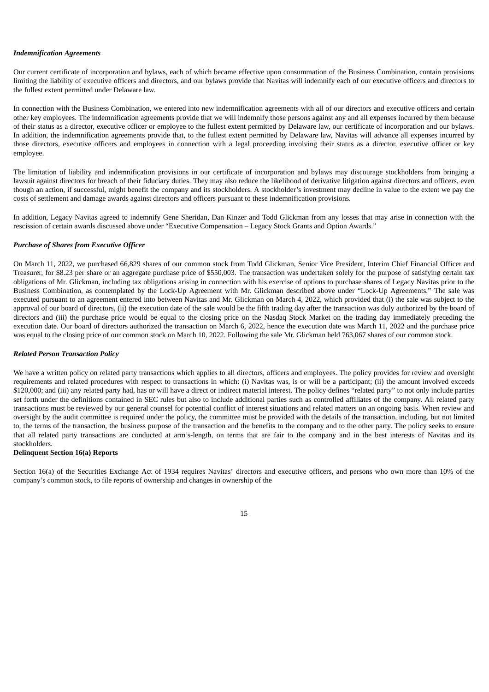#### *Indemnification Agreements*

Our current certificate of incorporation and bylaws, each of which became effective upon consummation of the Business Combination, contain provisions limiting the liability of executive officers and directors, and our bylaws provide that Navitas will indemnify each of our executive officers and directors to the fullest extent permitted under Delaware law.

In connection with the Business Combination, we entered into new indemnification agreements with all of our directors and executive officers and certain other key employees. The indemnification agreements provide that we will indemnify those persons against any and all expenses incurred by them because of their status as a director, executive officer or employee to the fullest extent permitted by Delaware law, our certificate of incorporation and our bylaws. In addition, the indemnification agreements provide that, to the fullest extent permitted by Delaware law, Navitas will advance all expenses incurred by those directors, executive officers and employees in connection with a legal proceeding involving their status as a director, executive officer or key employee.

The limitation of liability and indemnification provisions in our certificate of incorporation and bylaws may discourage stockholders from bringing a lawsuit against directors for breach of their fiduciary duties. They may also reduce the likelihood of derivative litigation against directors and officers, even though an action, if successful, might benefit the company and its stockholders. A stockholder's investment may decline in value to the extent we pay the costs of settlement and damage awards against directors and officers pursuant to these indemnification provisions.

In addition, Legacy Navitas agreed to indemnify Gene Sheridan, Dan Kinzer and Todd Glickman from any losses that may arise in connection with the rescission of certain awards discussed above under "Executive Compensation – Legacy Stock Grants and Option Awards."

#### *Purchase of Shares from Executive Officer*

On March 11, 2022, we purchased 66,829 shares of our common stock from Todd Glickman, Senior Vice President, Interim Chief Financial Officer and Treasurer, for \$8.23 per share or an aggregate purchase price of \$550,003. The transaction was undertaken solely for the purpose of satisfying certain tax obligations of Mr. Glickman, including tax obligations arising in connection with his exercise of options to purchase shares of Legacy Navitas prior to the Business Combination, as contemplated by the Lock-Up Agreement with Mr. Glickman described above under "Lock-Up Agreements." The sale was executed pursuant to an agreement entered into between Navitas and Mr. Glickman on March 4, 2022, which provided that (i) the sale was subject to the approval of our board of directors, (ii) the execution date of the sale would be the fifth trading day after the transaction was duly authorized by the board of directors and (iii) the purchase price would be equal to the closing price on the Nasdaq Stock Market on the trading day immediately preceding the execution date. Our board of directors authorized the transaction on March 6, 2022, hence the execution date was March 11, 2022 and the purchase price was equal to the closing price of our common stock on March 10, 2022. Following the sale Mr. Glickman held 763,067 shares of our common stock.

#### *Related Person Transaction Policy*

We have a written policy on related party transactions which applies to all directors, officers and employees. The policy provides for review and oversight requirements and related procedures with respect to transactions in which: (i) Navitas was, is or will be a participant; (ii) the amount involved exceeds \$120,000; and (iii) any related party had, has or will have a direct or indirect material interest. The policy defines "related party" to not only include parties set forth under the definitions contained in SEC rules but also to include additional parties such as controlled affiliates of the company. All related party transactions must be reviewed by our general counsel for potential conflict of interest situations and related matters on an ongoing basis. When review and oversight by the audit committee is required under the policy, the committee must be provided with the details of the transaction, including, but not limited to, the terms of the transaction, the business purpose of the transaction and the benefits to the company and to the other party. The policy seeks to ensure that all related party transactions are conducted at arm's-length, on terms that are fair to the company and in the best interests of Navitas and its stockholders.

## **Delinquent Section 16(a) Reports**

Section 16(a) of the Securities Exchange Act of 1934 requires Navitas' directors and executive officers, and persons who own more than 10% of the company's common stock, to file reports of ownership and changes in ownership of the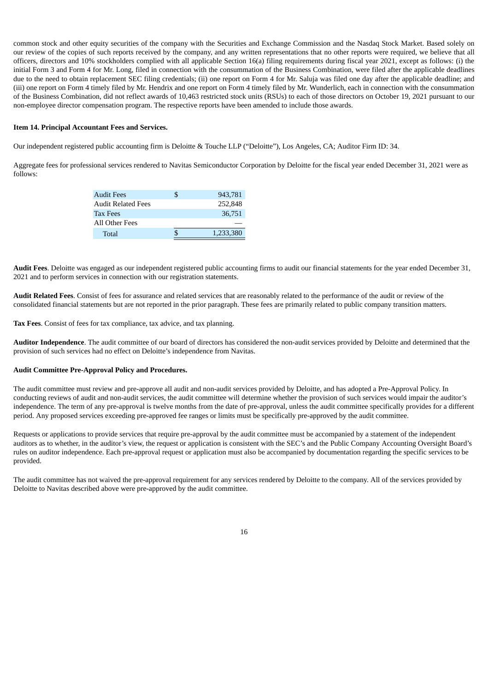common stock and other equity securities of the company with the Securities and Exchange Commission and the Nasdaq Stock Market. Based solely on our review of the copies of such reports received by the company, and any written representations that no other reports were required, we believe that all officers, directors and 10% stockholders complied with all applicable Section 16(a) filing requirements during fiscal year 2021, except as follows: (i) the initial Form 3 and Form 4 for Mr. Long, filed in connection with the consummation of the Business Combination, were filed after the applicable deadlines due to the need to obtain replacement SEC filing credentials; (ii) one report on Form 4 for Mr. Saluja was filed one day after the applicable deadline; and (iii) one report on Form 4 timely filed by Mr. Hendrix and one report on Form 4 timely filed by Mr. Wunderlich, each in connection with the consummation of the Business Combination, did not reflect awards of 10,463 restricted stock units (RSUs) to each of those directors on October 19, 2021 pursuant to our non-employee director compensation program. The respective reports have been amended to include those awards.

#### <span id="page-17-0"></span>**Item 14. Principal Accountant Fees and Services.**

Our independent registered public accounting firm is Deloitte & Touche LLP ("Deloitte"), Los Angeles, CA; Auditor Firm ID: 34.

Aggregate fees for professional services rendered to Navitas Semiconductor Corporation by Deloitte for the fiscal year ended December 31, 2021 were as follows:

| <b>Audit Fees</b>         | S  | 943.781   |
|---------------------------|----|-----------|
| <b>Audit Related Fees</b> |    | 252,848   |
| <b>Tax Fees</b>           |    | 36,751    |
| All Other Fees            |    |           |
| Total                     | \$ | 1,233,380 |

**Audit Fees**. Deloitte was engaged as our independent registered public accounting firms to audit our financial statements for the year ended December 31, 2021 and to perform services in connection with our registration statements.

**Audit Related Fees**. Consist of fees for assurance and related services that are reasonably related to the performance of the audit or review of the consolidated financial statements but are not reported in the prior paragraph. These fees are primarily related to public company transition matters.

**Tax Fees**. Consist of fees for tax compliance, tax advice, and tax planning.

**Auditor Independence**. The audit committee of our board of directors has considered the non-audit services provided by Deloitte and determined that the provision of such services had no effect on Deloitte's independence from Navitas.

#### **Audit Committee Pre-Approval Policy and Procedures.**

The audit committee must review and pre-approve all audit and non-audit services provided by Deloitte, and has adopted a Pre-Approval Policy. In conducting reviews of audit and non-audit services, the audit committee will determine whether the provision of such services would impair the auditor's independence. The term of any pre-approval is twelve months from the date of pre-approval, unless the audit committee specifically provides for a different period. Any proposed services exceeding pre-approved fee ranges or limits must be specifically pre-approved by the audit committee.

Requests or applications to provide services that require pre-approval by the audit committee must be accompanied by a statement of the independent auditors as to whether, in the auditor's view, the request or application is consistent with the SEC's and the Public Company Accounting Oversight Board's rules on auditor independence. Each pre-approval request or application must also be accompanied by documentation regarding the specific services to be provided.

<span id="page-17-1"></span>The audit committee has not waived the pre-approval requirement for any services rendered by Deloitte to the company. All of the services provided by Deloitte to Navitas described above were pre-approved by the audit committee.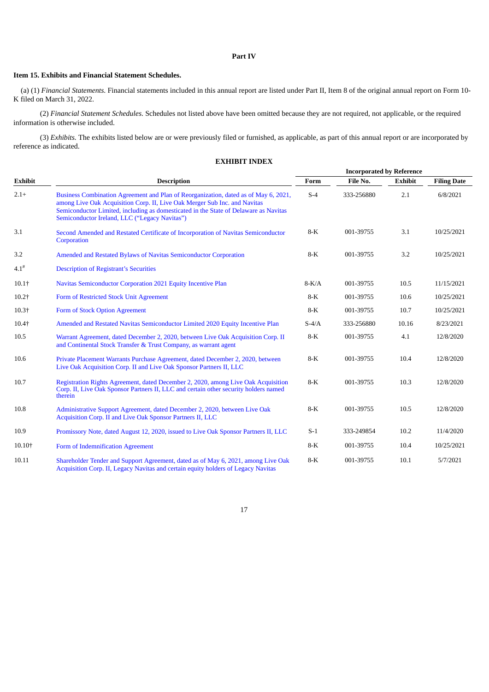**Part IV**

## <span id="page-18-0"></span>**Item 15. Exhibits and Financial Statement Schedules.**

(a) (1) *Financial Statements*. Financial statements included in this annual report are listed under Part II, Item 8 of the original annual report on Form 10- K filed on March 31, 2022.

(2) *Financial Statement Schedules*. Schedules not listed above have been omitted because they are not required, not applicable, or the required information is otherwise included.

(3) *Exhibits.* The exhibits listed below are or were previously filed or furnished, as applicable, as part of this annual report or are incorporated by reference as indicated.

## **EXHIBIT INDEX**

<span id="page-18-1"></span>

|                |                                                                                                                                                                                                                                                                                                           | <b>Incorporated by Reference</b> |            |                |                    |
|----------------|-----------------------------------------------------------------------------------------------------------------------------------------------------------------------------------------------------------------------------------------------------------------------------------------------------------|----------------------------------|------------|----------------|--------------------|
| <b>Exhibit</b> | <b>Description</b>                                                                                                                                                                                                                                                                                        | Form                             | File No.   | <b>Exhibit</b> | <b>Filing Date</b> |
| $2.1+$         | Business Combination Agreement and Plan of Reorganization, dated as of May 6, 2021,<br>among Live Oak Acquisition Corp. II, Live Oak Merger Sub Inc. and Navitas<br>Semiconductor Limited, including as domesticated in the State of Delaware as Navitas<br>Semiconductor Ireland, LLC ("Legacy Navitas") | $S-4$                            | 333-256880 | 2.1            | 6/8/2021           |
| 3.1            | Second Amended and Restated Certificate of Incorporation of Navitas Semiconductor<br>Corporation                                                                                                                                                                                                          | $8-K$                            | 001-39755  | 3.1            | 10/25/2021         |
| 3.2            | Amended and Restated Bylaws of Navitas Semiconductor Corporation                                                                                                                                                                                                                                          | $8-K$                            | 001-39755  | 3.2            | 10/25/2021         |
| $4.1^{#}$      | <b>Description of Registrant's Securities</b>                                                                                                                                                                                                                                                             |                                  |            |                |                    |
| 10.1+          | <b>Navitas Semiconductor Corporation 2021 Equity Incentive Plan</b>                                                                                                                                                                                                                                       | $8-K/A$                          | 001-39755  | 10.5           | 11/15/2021         |
| 10.2+          | Form of Restricted Stock Unit Agreement                                                                                                                                                                                                                                                                   | $8-K$                            | 001-39755  | 10.6           | 10/25/2021         |
| $10.3+$        | Form of Stock Option Agreement                                                                                                                                                                                                                                                                            | $8-K$                            | 001-39755  | 10.7           | 10/25/2021         |
| 10.4+          | Amended and Restated Navitas Semiconductor Limited 2020 Equity Incentive Plan                                                                                                                                                                                                                             | $S-4/A$                          | 333-256880 | 10.16          | 8/23/2021          |
| 10.5           | Warrant Agreement, dated December 2, 2020, between Live Oak Acquisition Corp. II<br>and Continental Stock Transfer & Trust Company, as warrant agent                                                                                                                                                      | $8-K$                            | 001-39755  | 4.1            | 12/8/2020          |
| 10.6           | Private Placement Warrants Purchase Agreement, dated December 2, 2020, between<br>Live Oak Acquisition Corp. II and Live Oak Sponsor Partners II, LLC                                                                                                                                                     | $8-K$                            | 001-39755  | 10.4           | 12/8/2020          |
| 10.7           | Registration Rights Agreement, dated December 2, 2020, among Live Oak Acquisition<br>Corp. II, Live Oak Sponsor Partners II, LLC and certain other security holders named<br>therein                                                                                                                      | $8-K$                            | 001-39755  | 10.3           | 12/8/2020          |
| 10.8           | Administrative Support Agreement, dated December 2, 2020, between Live Oak<br>Acquisition Corp. II and Live Oak Sponsor Partners II, LLC                                                                                                                                                                  | $8-K$                            | 001-39755  | 10.5           | 12/8/2020          |
| 10.9           | Promissory Note, dated August 12, 2020, issued to Live Oak Sponsor Partners II, LLC                                                                                                                                                                                                                       | $S-1$                            | 333-249854 | 10.2           | 11/4/2020          |
| 10.10+         | Form of Indemnification Agreement                                                                                                                                                                                                                                                                         | $8-K$                            | 001-39755  | 10.4           | 10/25/2021         |
| 10.11          | Shareholder Tender and Support Agreement, dated as of May 6, 2021, among Live Oak<br>Acquisition Corp. II, Legacy Navitas and certain equity holders of Legacy Navitas                                                                                                                                    | $8-K$                            | 001-39755  | 10.1           | 5/7/2021           |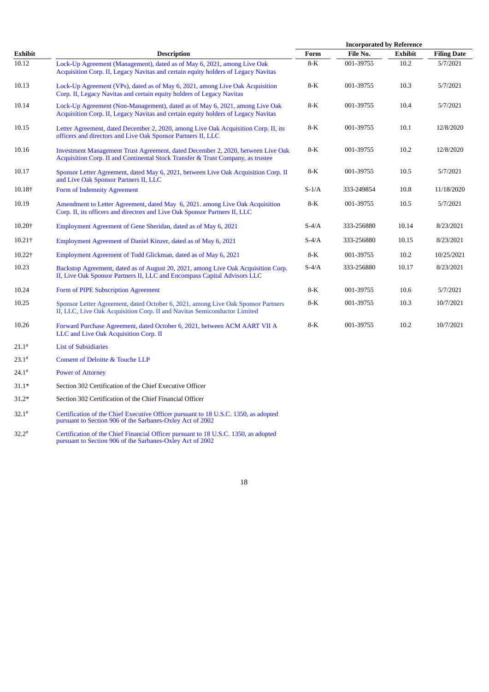|                |                                                                                                                                                                    | <b>Incorporated by Reference</b> |            |                |                    |
|----------------|--------------------------------------------------------------------------------------------------------------------------------------------------------------------|----------------------------------|------------|----------------|--------------------|
| <b>Exhibit</b> | <b>Description</b>                                                                                                                                                 | Form                             | File No.   | <b>Exhibit</b> | <b>Filing Date</b> |
| 10.12          | Lock-Up Agreement (Management), dated as of May 6, 2021, among Live Oak<br>Acquisition Corp. II, Legacy Navitas and certain equity holders of Legacy Navitas       | $8-K$                            | 001-39755  | 10.2           | 5/7/2021           |
| 10.13          | Lock-Up Agreement (VPs), dated as of May 6, 2021, among Live Oak Acquisition<br>Corp. II, Legacy Navitas and certain equity holders of Legacy Navitas              | $8-K$                            | 001-39755  | 10.3           | 5/7/2021           |
| 10.14          | Lock-Up Agreement (Non-Management), dated as of May 6, 2021, among Live Oak<br>Acquisition Corp. II, Legacy Navitas and certain equity holders of Legacy Navitas   | $8-K$                            | 001-39755  | 10.4           | 5/7/2021           |
| 10.15          | Letter Agreement, dated December 2, 2020, among Live Oak Acquisition Corp. II, its<br>officers and directors and Live Oak Sponsor Partners II, LLC                 | $8-K$                            | 001-39755  | 10.1           | 12/8/2020          |
| 10.16          | Investment Management Trust Agreement, dated December 2, 2020, between Live Oak<br>Acquisition Corp. II and Continental Stock Transfer & Trust Company, as trustee | $8-K$                            | 001-39755  | 10.2           | 12/8/2020          |
| 10.17          | Sponsor Letter Agreement, dated May 6, 2021, between Live Oak Acquisition Corp. II<br>and Live Oak Sponsor Partners II, LLC                                        | $8-K$                            | 001-39755  | 10.5           | 5/7/2021           |
| 10.18+         | Form of Indemnity Agreement                                                                                                                                        | $S-1/A$                          | 333-249854 | 10.8           | 11/18/2020         |
| 10.19          | Amendment to Letter Agreement, dated May 6, 2021. among Live Oak Acquisition<br>Corp. II, its officers and directors and Live Oak Sponsor Partners II, LLC         | $8-K$                            | 001-39755  | 10.5           | 5/7/2021           |
| 10.20+         | Employment Agreement of Gene Sheridan, dated as of May 6, 2021                                                                                                     | $S-4/A$                          | 333-256880 | 10.14          | 8/23/2021          |
| 10.21+         | Employment Agreement of Daniel Kinzer, dated as of May 6, 2021                                                                                                     | $S-4/A$                          | 333-256880 | 10.15          | 8/23/2021          |
| 10.22+         | Employment Agreement of Todd Glickman, dated as of May 6, 2021                                                                                                     | $8-K$                            | 001-39755  | 10.2           | 10/25/2021         |
| 10.23          | Backstop Agreement, dated as of August 20, 2021, among Live Oak Acquisition Corp.<br>II, Live Oak Sponsor Partners II, LLC and Encompass Capital Advisors LLC      | $S-4/A$                          | 333-256880 | 10.17          | 8/23/2021          |
| 10.24          | Form of PIPE Subscription Agreement                                                                                                                                | $8-K$                            | 001-39755  | 10.6           | 5/7/2021           |
| 10.25          | Sponsor Letter Agreement, dated October 6, 2021, among Live Oak Sponsor Partners<br>II, LLC, Live Oak Acquisition Corp. II and Navitas Semiconductor Limited       | $8-K$                            | 001-39755  | 10.3           | 10/7/2021          |
| 10.26          | Forward Purchase Agreement, dated October 6, 2021, between ACM AART VII A<br>LLC and Live Oak Acquisition Corp. II                                                 | $8-K$                            | 001-39755  | 10.2           | 10/7/2021          |
| $21.1^{#}$     | <b>List of Subsidiaries</b>                                                                                                                                        |                                  |            |                |                    |
|                |                                                                                                                                                                    |                                  |            |                |                    |

- 23.1 [Consent of Deloitte & Touche LLP](https://www.sec.gov/Archives/edgar/data/0001821769/000162828022008077/exhibit231-consentofdeloit.htm)  $23.1$ <sup>#</sup>
- [Power of Attorney](https://www.sec.gov/ix?doc=/Archives/edgar/data/0001821769/000162828022008077/nvts-20211231.htm#i3b173baa171641d0811ab1bc1a479fbe_181)  $24.1^{\#}$
- 31.1\* Section 302 Certification of the Chief Executive Officer
- 31.2\* Section 302 Certification of the Chief Financial Officer
- 32.1<sup>#</sup> [Certification of the Chief Executive Officer pursuant to 18 U.S.C. 1350, as adopted](https://www.sec.gov/Archives/edgar/data/0001821769/000162828022008077/exhibit321-ceo906cert.htm) pursuant to Section 906 of the Sarbanes-Oxley Act of 2002  $32.1^{\#}$
- 32.2<sup>#</sup> [Certification of the Chief Financial Officer pursuant to 18 U.S.C. 1350, as adopted](https://www.sec.gov/Archives/edgar/data/0001821769/000162828022008077/exhibit322-cfo906cert.htm) pursuant to Section 906 of the Sarbanes-Oxley Act of 2002  $32.2$ #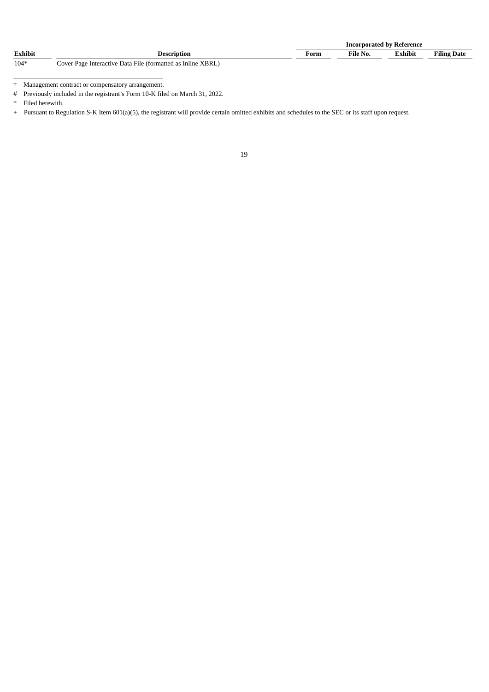|                |                                                             | <b>Incorporated by Reference</b> |          |         |                    |
|----------------|-------------------------------------------------------------|----------------------------------|----------|---------|--------------------|
| <b>Exhibit</b> | <b>Description</b>                                          | Form                             | File No. | Exhibit | <b>Filing Date</b> |
| $104*$         | Cover Page Interactive Data File (formatted as Inline XBRL) |                                  |          |         |                    |

\_\_\_\_\_\_\_\_\_\_\_\_\_\_\_\_\_\_\_\_\_\_\_\_\_\_\_\_\_\_\_\_\_\_\_\_\_\_\_\_\_\_\_\_\_ † Management contract or compensatory arrangement.

\* Filed herewith.

<span id="page-20-0"></span>+ Pursuant to Regulation S-K Item 601(a)(5), the registrant will provide certain omitted exhibits and schedules to the SEC or its staff upon request.

<sup>#</sup> Previously included in the registrant's Form 10-K filed on March 31, 2022.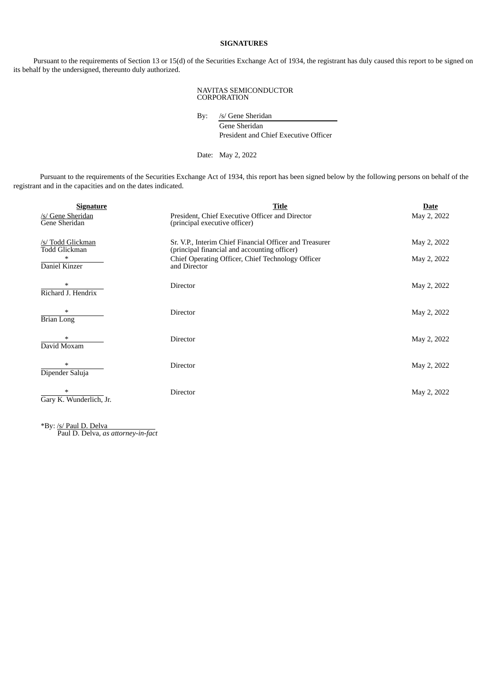## **SIGNATURES**

Pursuant to the requirements of Section 13 or 15(d) of the Securities Exchange Act of 1934, the registrant has duly caused this report to be signed on its behalf by the undersigned, thereunto duly authorized.

> NAVITAS SEMICONDUCTOR CORPORATION

By: /s/ Gene Sheridan Gene Sheridan President and Chief Executive Officer

Date: May 2, 2022

Pursuant to the requirements of the Securities Exchange Act of 1934, this report has been signed below by the following persons on behalf of the registrant and in the capacities and on the dates indicated.

| <b>Signature</b>                   | Title                                                                                                   | <b>Date</b> |
|------------------------------------|---------------------------------------------------------------------------------------------------------|-------------|
| /s/ Gene Sheridan<br>Gene Sheridan | President, Chief Executive Officer and Director<br>(principal executive officer)                        | May 2, 2022 |
| /s/ Todd Glickman<br>Todd Glickman | Sr. V.P., Interim Chief Financial Officer and Treasurer<br>(principal financial and accounting officer) | May 2, 2022 |
| $\ast$<br>Daniel Kinzer            | Chief Operating Officer, Chief Technology Officer<br>and Director                                       | May 2, 2022 |
| ∗<br>Richard J. Hendrix            | <b>Director</b>                                                                                         | May 2, 2022 |
| ∗<br><b>Brian Long</b>             | <b>Director</b>                                                                                         | May 2, 2022 |
| $\ast$<br>David Moxam              | <b>Director</b>                                                                                         | May 2, 2022 |
| ∗<br>Dipender Saluja               | <b>Director</b>                                                                                         | May 2, 2022 |
| $\ast$<br>Gary K. Wunderlich, Jr.  | <b>Director</b>                                                                                         | May 2, 2022 |

\*By: /s/ Paul D. Delva Paul D. Delva, *as attorney-in-fact*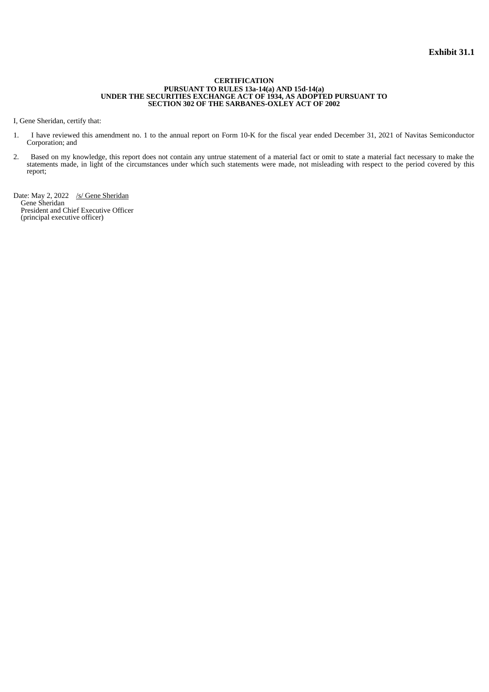#### **CERTIFICATION PURSUANT TO RULES 13a-14(a) AND 15d-14(a) UNDER THE SECURITIES EXCHANGE ACT OF 1934, AS ADOPTED PURSUANT TO SECTION 302 OF THE SARBANES-OXLEY ACT OF 2002**

I, Gene Sheridan, certify that:

- 1. I have reviewed this amendment no. 1 to the annual report on Form 10-K for the fiscal year ended December 31, 2021 of Navitas Semiconductor Corporation; and
- 2. Based on my knowledge, this report does not contain any untrue statement of a material fact or omit to state a material fact necessary to make the statements made, in light of the circumstances under which such statements were made, not misleading with respect to the period covered by this report;

Date: May 2, 2022 /s/ Gene Sheridan Gene Sheridan President and Chief Executive Officer (principal executive officer)